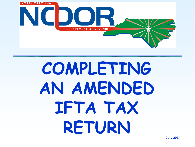

# **COMPLETING AN AMENDED IFTA TAX RETURN**

**July 2014**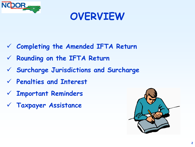

# **OVERVIEW**

- **Completing the Amended IFTA Return**
- **Rounding on the IFTA Return**
- **Surcharge Jurisdictions and Surcharge**
- **Penalties and Interest**
- **Important Reminders**
- **Taxpayer Assistance**

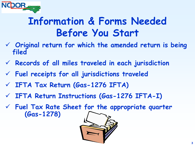

# **Information & Forms Needed Before You Start**

- **Original return for which the amended return is being filed**
- **Records of all miles traveled in each jurisdiction**
- **Fuel receipts for all jurisdictions traveled**
- **IFTA Tax Return (Gas-1276 IFTA)**
- **IFTA Return Instructions (Gas-1276 IFTA-I)**
- **Fuel Tax Rate Sheet for the appropriate quarter (Gas-1278)**

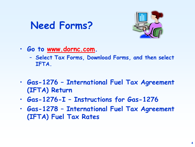# **Need Forms?**



- **Go to www.dornc.com.**
	- **Select Tax Forms, Download Forms, and then select IFTA.**
- **Gas-1276 – International Fuel Tax Agreement (IFTA) Return**
- **Gas-1276-I – Instructions for Gas-1276**
- **Gas-1278 – International Fuel Tax Agreement (IFTA) Fuel Tax Rates**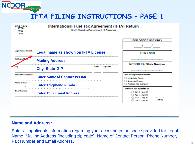

| <b>GAS-1276</b><br>IFTA.<br>Web<br>3-14                 | International Fuel Tax Agreement (IFTA) Return<br>North Carolina Department of Revenue |                                                                                                            |
|---------------------------------------------------------|----------------------------------------------------------------------------------------|------------------------------------------------------------------------------------------------------------|
|                                                         |                                                                                        | <b>FOR OFFICE USE ONLY</b>                                                                                 |
| Legal Name (First 35)                                   | <b>Legal name as shown on IFTA License</b>                                             | <b>FEIN / SSN</b>                                                                                          |
| Maling Adda                                             | <b>Mailing Address</b>                                                                 | <b>NCDOR ID / State Number</b>                                                                             |
| am                                                      | <b>State</b><br><b>Zio Occio</b><br><b>City State ZIP</b>                              |                                                                                                            |
| <b>Name of Contact Pen</b><br><b>Program New Street</b> | <b>Enter Name of Contact Person</b><br><b>Enter Telephone Number</b>                   | Fill in applicable circles:<br>No Activity Return<br>Amended Return<br>Address has changed                 |
| Email Address                                           | <b>Contract Contract Contract</b><br><b>Enter Your Email Address</b>                   | Return for quarter of<br>Jan 1 - Mar 31<br>Apr 1 - Jun 30<br>◯ Jul 1 - Seo 30<br>(Year)<br>C 0d 1 - Dec 31 |

#### **Name and Address:**

Enter all applicable information regarding your account in the space provided for Legal Name, Mailing Address (including zip code), Name of Contact Person, Phone Number, Fax Number and Email Address.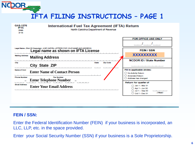

| CAS-1276<br>IF 18.<br>Web<br>3-14 | International Fuel Tax Agreement (IFTA) Return<br>North Carolina Department of Revenue |                                                                                                         |  |  |  |  |  |  |  |  |
|-----------------------------------|----------------------------------------------------------------------------------------|---------------------------------------------------------------------------------------------------------|--|--|--|--|--|--|--|--|
|                                   |                                                                                        | <b>FOR OFFICE USE ONLY</b>                                                                              |  |  |  |  |  |  |  |  |
|                                   |                                                                                        |                                                                                                         |  |  |  |  |  |  |  |  |
|                                   | <b>EXECUTE OF THE CAPTAIN FOR YOUR MILE AND ACCRESS</b>                                | <b>FEIN / SSN</b>                                                                                       |  |  |  |  |  |  |  |  |
| Mail ing Address:                 | <b>Mailing Address</b>                                                                 | <b>XXXXXXXXX</b>                                                                                        |  |  |  |  |  |  |  |  |
| City                              | <b>Zip Otale</b><br><b>State</b>                                                       | <b>NCDOR ID / State Number</b>                                                                          |  |  |  |  |  |  |  |  |
|                                   | <b>City State ZIP</b>                                                                  |                                                                                                         |  |  |  |  |  |  |  |  |
| <b>National city Count</b>        | <b>Enter Name of Contact Person</b>                                                    | Fill in applicable circles:<br>C No Activity Return                                                     |  |  |  |  |  |  |  |  |
| <b>Bureaux, Magazikasar</b>       | <b>First Number</b><br><b>Enter Telephone Number</b>                                   | C.D. Armenylavi Rhetsme<br>C) Address has changed                                                       |  |  |  |  |  |  |  |  |
| Email Address                     | <b>Enter Your Email Address</b>                                                        | Return for quarter of<br>Jan 1 - Mar 31<br>Apr 1 - Jun 30<br>Jul 1 - Sep 30<br>(Year)<br>Oct 1 - Dec 31 |  |  |  |  |  |  |  |  |

#### **FEIN / SSN:**

Enter the Federal Identification Number (FEIN) if your business is incorporated, an LLC, LLP, etc. in the space provided.

Enter your Social Security Number (SSN) if your business is a Sole Proprietorship.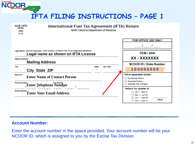



#### **Account Number:**

Enter the account number in the space provided. Your account number will be your NCDOR ID, which is assigned to you by the Excise Tax Division.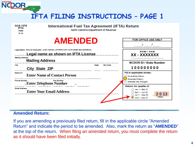

| <b>GAS-1276</b><br>IF TA<br>Web<br>344 | International Fuel Tax Agreement (IFTA) Return<br>North Carolina Department of Revenue                                                 |                                                                                         |
|----------------------------------------|----------------------------------------------------------------------------------------------------------------------------------------|-----------------------------------------------------------------------------------------|
|                                        | <b>AMENDED</b>                                                                                                                         | <b>FOR OFFICE USE ONLY</b>                                                              |
| Malling Address                        | IFINE 35 Chamerinal I IERE CAPITAL LETTERS FOR YOUR NAME AND ADDRESS.<br>Legal name as shown on IFTA License<br><b>Mailing Address</b> | <b>CCIN Lee N</b><br>XX - XXXXXXX                                                       |
| <b>City</b><br>Nasna of t              | Zijn Goods<br><b>SUSA</b><br><b>City State ZIP</b>                                                                                     | <b>NCDOR ID / State Number</b><br>100000000<br>Fill in applicable circles:              |
| <b>Mary Corp. Minimum Property</b>     | <b>Enter Name of Contact Person</b><br><b>Fire Nursian</b><br><b>Enter Telephone Number</b>                                            | No Activity Return<br>Amended Return<br>Address has changed<br>Return for quarter of    |
| <b>Court Address</b>                   | <b>Enter Your Email Address</b>                                                                                                        | Jan 1 - Mar 31<br>Apr 1 - Jun 30<br>2013<br>Jul 1 - Sep 30<br>mean<br>$Q$ od 1 - Dec 31 |

#### **Amended Return:**

If you are amending a previously filed return, fill in the applicable circle "Amended Return" and indicate the period to be amended. Also, mark the return as "**AMENDED**" at the top of the return. When filing an amended return, you must complete the return as it should have been filed initially.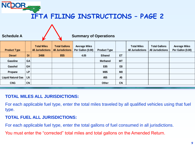| <b>Schedule A</b>         | <b>Summary of Operations</b> |                                                |                                                  |                                           |                     |                |                                                |                                                  |                                           |  |
|---------------------------|------------------------------|------------------------------------------------|--------------------------------------------------|-------------------------------------------|---------------------|----------------|------------------------------------------------|--------------------------------------------------|-------------------------------------------|--|
| <b>Product Type</b>       |                              | <b>Total Miles</b><br><b>All Jurisdictions</b> | <b>Total Gallons</b><br><b>All Jurisdictions</b> | <b>Average Miles</b><br>Per Gallon (0.00) | <b>Product Type</b> |                | <b>Total Miles</b><br><b>All Jurisdictions</b> | <b>Total Gallons</b><br><b>All Jurisdictions</b> | <b>Average Miles</b><br>Per Gallon (0.00) |  |
| <b>Diesel</b>             | <b>DI</b>                    | 3466                                           | 855                                              | 4.05                                      | <b>Ethanol</b>      | ET             |                                                |                                                  |                                           |  |
| <b>Gasoline</b>           | GA                           |                                                |                                                  |                                           | <b>Methanol</b>     | <b>MT</b>      |                                                |                                                  |                                           |  |
| Gasohol                   | GH                           |                                                |                                                  |                                           | E85                 | E <sub>8</sub> |                                                |                                                  |                                           |  |
| Propane                   | LP                           |                                                |                                                  |                                           | M85                 | M8             |                                                |                                                  |                                           |  |
| <b>Liquid Natural Gas</b> | <b>LN</b>                    |                                                |                                                  |                                           | A55                 | A <sub>5</sub> |                                                |                                                  |                                           |  |
| <b>CNG</b>                | <b>CN</b>                    |                                                |                                                  |                                           | Other               | <b>CN</b>      |                                                |                                                  |                                           |  |

#### **TOTAL MILES ALL JURISDICTIONS:**

For each applicable fuel type, enter the total miles traveled by all qualified vehicles using that fuel type.

#### **TOTAL FUEL ALL JURISDICTIONS:**

For each applicable fuel type, enter the total gallons of fuel consumed in all jurisdictions.

You must enter the "corrected" total miles and total gallons on the Amended Return.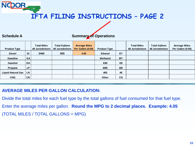#### **Schedule A**

**Summary of Operations**

| <b>Schedule A</b>         |           |                                                |                                                  | <b>Summary of Operations</b>              |                     |                |                                                |                                                  |                                           |
|---------------------------|-----------|------------------------------------------------|--------------------------------------------------|-------------------------------------------|---------------------|----------------|------------------------------------------------|--------------------------------------------------|-------------------------------------------|
| <b>Product Type</b>       |           | <b>Total Miles</b><br><b>All Jurisdictions</b> | <b>Total Gallons</b><br><b>All Jurisdictions</b> | <b>Average Miles</b><br>Per Gallon (0.00) | <b>Product Type</b> |                | <b>Total Miles</b><br><b>All Jurisdictions</b> | <b>Total Gallons</b><br><b>All Jurisdictions</b> | <b>Average Miles</b><br>Per Gallon (0.00) |
| <b>Diesel</b>             | <b>DI</b> | 3466                                           | 855                                              | 4.05                                      | <b>Ethanol</b>      | ET             |                                                |                                                  |                                           |
| <b>Gasoline</b>           | <b>GA</b> |                                                |                                                  |                                           | <b>Methanol</b>     | <b>MT</b>      |                                                |                                                  |                                           |
| Gasohol                   | <b>GH</b> |                                                |                                                  |                                           | E85                 | E <sub>8</sub> |                                                |                                                  |                                           |
| Propane                   | <b>LP</b> |                                                |                                                  |                                           | M85                 | M8             |                                                |                                                  |                                           |
| <b>Liquid Natural Gas</b> | <b>LN</b> |                                                |                                                  |                                           | A55                 | A <sub>5</sub> |                                                |                                                  |                                           |
| <b>CNG</b>                | <b>CN</b> |                                                |                                                  |                                           | Other               | <b>CN</b>      |                                                |                                                  |                                           |
|                           |           |                                                |                                                  |                                           |                     |                |                                                |                                                  |                                           |

#### **AVERAGE MILES PER GALLON CALCULATION:**

Divide the total miles for each fuel type by the total gallons of fuel consumed for that fuel type. Enter the average miles per gallon. **Round the MPG to 2 decimal places. Example: 4.05** (TOTAL MILES / TOTAL GALLONS = MPG)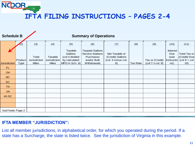| <b>Schedule B</b> |                        |                                       |                                         |                                                                         | <b>Summary of Operations</b>                                                                 |                                                                |                 |                                                                       |                                              |                                                                                  |
|-------------------|------------------------|---------------------------------------|-----------------------------------------|-------------------------------------------------------------------------|----------------------------------------------------------------------------------------------|----------------------------------------------------------------|-----------------|-----------------------------------------------------------------------|----------------------------------------------|----------------------------------------------------------------------------------|
|                   | (2)                    | (3)                                   | (4)                                     | (5)                                                                     | (6)                                                                                          | (7)                                                            | (8)             | (9)                                                                   | (10)                                         | (11)                                                                             |
| Jurisdiction      | Product<br><b>Type</b> | Total<br>Jurisdiction<br><b>Miles</b> | Taxable<br>Jurisdiction<br><b>Miles</b> | Taxable<br>Gallons<br>(col 4 divided<br>by calculated<br>MPG in Sch. A) | <b>Taxpaid Gallons</b><br><b>Service Stations</b><br>Purchases<br>and/or Bulk<br>Withdrawals | Net Taxable or<br>(Credit) Gallons<br>(col. 5 minus col.<br>6) | <b>Tax Rate</b> | Tax or (Credit)<br>$\left(\text{col } 7 \times \text{col. } 8\right)$ | Interest<br>Due<br>(see<br>Instructio<br>ns) | Total Tax or<br>(Credit) Due<br>$\left(\text{col } 9 + \text{col}\right)$<br>10) |
| FL.               |                        |                                       |                                         |                                                                         |                                                                                              |                                                                |                 |                                                                       |                                              |                                                                                  |
| <b>GA</b>         |                        |                                       |                                         |                                                                         |                                                                                              |                                                                |                 |                                                                       |                                              |                                                                                  |
| NC                |                        |                                       |                                         |                                                                         |                                                                                              |                                                                |                 |                                                                       |                                              |                                                                                  |
| <b>SC</b>         |                        |                                       |                                         |                                                                         |                                                                                              |                                                                |                 |                                                                       |                                              |                                                                                  |
| <b>TN</b>         |                        |                                       |                                         |                                                                         |                                                                                              |                                                                |                 |                                                                       |                                              |                                                                                  |
| <b>VA</b>         |                        |                                       |                                         |                                                                         |                                                                                              |                                                                |                 |                                                                       |                                              |                                                                                  |
| VA SC             |                        |                                       |                                         |                                                                         |                                                                                              |                                                                |                 |                                                                       |                                              |                                                                                  |
|                   |                        |                                       |                                         |                                                                         |                                                                                              |                                                                |                 |                                                                       |                                              |                                                                                  |
|                   |                        |                                       |                                         |                                                                         |                                                                                              |                                                                |                 |                                                                       |                                              |                                                                                  |
| SubTotals Page 2  |                        |                                       |                                         |                                                                         |                                                                                              |                                                                |                 |                                                                       |                                              |                                                                                  |

#### **IFTA MEMBER "JURISDICTION":**

NCDOR,

List all member jurisdictions, in alphabetical order, for which you operated during the period. If a state has a Surcharge, the state is listed twice. See the jurisdiction of Virginia in this example.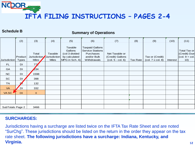#### **Schedule B**

#### **Summary of Operations**

|                  | (2)                     | (3)                                   | (4)                                     | (5)                                                                     | (6)                                                                                          | (7)                                                       | (8)             | (9)                                  | (10)            | (11)                                                                               |
|------------------|-------------------------|---------------------------------------|-----------------------------------------|-------------------------------------------------------------------------|----------------------------------------------------------------------------------------------|-----------------------------------------------------------|-----------------|--------------------------------------|-----------------|------------------------------------------------------------------------------------|
| Jurisdiction     | Product<br><b>Types</b> | Total<br>Jurisdiction<br><b>Miles</b> | Taxable<br>Jurisdiction<br><b>Miles</b> | Taxable<br>Gallons<br>(col 3 divided<br>by calculated<br>MPG in Sch. A) | <b>Taxpaid Gallons</b><br><b>Service Stations</b><br>Purchases<br>and/or Bulk<br>Withdrawals | Net Taxable or<br>(Credit) Gallons<br>$(col. 5 - col. 6)$ | <b>Tax Rate</b> | Tax or (Credit)<br>(col. 7 x col. 8) | <b>Interest</b> | Total Tax or<br>(Credit) Due<br>$\left(\text{col. } 9 + \text{col.}\right)$<br>10) |
| <b>FL</b>        | DI                      | 77/                                   |                                         |                                                                         |                                                                                              |                                                           |                 |                                      |                 |                                                                                    |
| GA               | DI                      | 234                                   |                                         |                                                                         |                                                                                              |                                                           |                 |                                      |                 |                                                                                    |
| NC               | DI                      | 1598                                  |                                         |                                                                         |                                                                                              |                                                           |                 |                                      |                 |                                                                                    |
| SC               | DI                      | 398                                   |                                         |                                                                         |                                                                                              |                                                           |                 |                                      |                 |                                                                                    |
| <b>TN</b>        | п                       | 132                                   |                                         |                                                                         |                                                                                              |                                                           |                 |                                      |                 |                                                                                    |
| <b>VA</b>        | DI                      | 332                                   |                                         |                                                                         |                                                                                              |                                                           |                 |                                      |                 |                                                                                    |
| VA SC            | DI                      | $\mathbf{0}$                          |                                         |                                                                         |                                                                                              |                                                           |                 |                                      |                 |                                                                                    |
|                  |                         |                                       |                                         |                                                                         |                                                                                              |                                                           |                 |                                      |                 |                                                                                    |
|                  |                         |                                       |                                         |                                                                         |                                                                                              |                                                           |                 |                                      |                 |                                                                                    |
| SubTotals Page 2 |                         | 3466                                  |                                         |                                                                         |                                                                                              |                                                           |                 |                                      |                 |                                                                                    |

#### **SURCHARGES:**

Jurisdictions having a surcharge are listed twice on the IFTA Tax Rate Sheet and are noted "SurChg". These jurisdictions should be listed on the return in the order they appear on the tax rate sheet. **The following jurisdictions have a surcharge: Indiana, Kentucky, and Virginia.**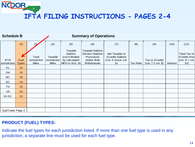| <b>Schedule B</b>                  |                      |                                       | <b>Summary of Operations</b>                   |                                                                         |                                                                                              |                                                                |                 |                                      |          |                                                               |
|------------------------------------|----------------------|---------------------------------------|------------------------------------------------|-------------------------------------------------------------------------|----------------------------------------------------------------------------------------------|----------------------------------------------------------------|-----------------|--------------------------------------|----------|---------------------------------------------------------------|
|                                    | (2)                  | (3)                                   | (4)                                            | (5)                                                                     | (6)                                                                                          | (7)                                                            | (8)             | (9)                                  | (10)     | (11)                                                          |
| <b>IFTA</b><br><b>Jurisdiction</b> | Fuel<br><b>Types</b> | Total<br>Jurisdiction<br><b>Miles</b> | Taxable<br><b>Jurisdiction</b><br><b>Miles</b> | Taxable<br>Gallons<br>(col 4 divided<br>by calculated<br>MPG in Sch. A) | <b>Taxpaid Gallons</b><br><b>Service Stations</b><br>Purchases<br>and/or Bulk<br>Withdrawals | Net Taxable or<br>(Credit) Gallons<br>(col. 5 minus col.<br>6) | <b>Tax Rate</b> | Tax or (Credit)<br>(col. 7 x col. 8) | Interest | Total Tax or<br>(Credit) Due<br>$\vert$ (col. 9 + col.<br>10) |
| <b>FL</b>                          | DI                   |                                       |                                                |                                                                         |                                                                                              |                                                                |                 |                                      |          |                                                               |
| GA                                 | DI                   |                                       |                                                |                                                                         |                                                                                              |                                                                |                 |                                      |          |                                                               |
| NC                                 | DI                   |                                       |                                                |                                                                         |                                                                                              |                                                                |                 |                                      |          |                                                               |
| SC                                 | DI                   |                                       |                                                |                                                                         |                                                                                              |                                                                |                 |                                      |          |                                                               |
| <b>TN</b>                          | DI                   |                                       |                                                |                                                                         |                                                                                              |                                                                |                 |                                      |          |                                                               |
| VA                                 | DI                   |                                       |                                                |                                                                         |                                                                                              |                                                                |                 |                                      |          |                                                               |
| VA SC                              | DI                   |                                       |                                                |                                                                         |                                                                                              |                                                                |                 |                                      |          |                                                               |
|                                    |                      |                                       |                                                |                                                                         |                                                                                              |                                                                |                 |                                      |          |                                                               |
|                                    |                      |                                       |                                                |                                                                         |                                                                                              |                                                                |                 |                                      |          |                                                               |
| SubTotals Page 2                   |                      |                                       |                                                |                                                                         |                                                                                              |                                                                |                 |                                      |          |                                                               |

#### **PRODUCT (FUEL) TYPES:**

NCDOR

Indicate the fuel types for each jurisdiction listed. If more than one fuel type is used in any jurisdiction, a separate line must be used for each fuel type.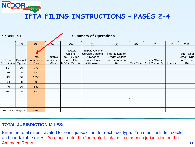| <b>Schedule B</b>                  |                         |                                                     |                                         |                                                                         | <b>Summary of Operations</b>                                                                 |                                                                |                 |                                      |          |                                                               |
|------------------------------------|-------------------------|-----------------------------------------------------|-----------------------------------------|-------------------------------------------------------------------------|----------------------------------------------------------------------------------------------|----------------------------------------------------------------|-----------------|--------------------------------------|----------|---------------------------------------------------------------|
|                                    | (2)                     | (3)                                                 | (4)                                     | (5)                                                                     | (6)                                                                                          | (7)                                                            | (8)             | (9)                                  | (10)     | (11)                                                          |
| <b>IFTA</b><br><b>Jurisdiction</b> | Product<br><b>Types</b> | <b>Total</b><br><b>Jurisdiction</b><br><b>Miles</b> | Taxable<br>Jurisdiction<br><b>Miles</b> | Taxable<br>Gallons<br>(col 4 divided<br>by calculated<br>MPG in Sch. A) | <b>Taxpaid Gallons</b><br><b>Service Stations</b><br>Purchases<br>and/or Bulk<br>Withdrawals | Net Taxable or<br>(Credit) Gallons<br>(col. 5 minus col.<br>6) | <b>Tax Rate</b> | Tax or (Credit)<br>(col. 7 x col. 8) | Interest | Total Tax or<br>(Credit) Due<br>$\vert$ (col. 9 + col.<br>10) |
| <b>FL</b>                          | DI                      | 772                                                 |                                         |                                                                         |                                                                                              |                                                                |                 |                                      |          |                                                               |
| GA                                 | DI                      | 234                                                 |                                         |                                                                         |                                                                                              |                                                                |                 |                                      |          |                                                               |
| <b>NC</b>                          | DI                      | 1598                                                |                                         |                                                                         |                                                                                              |                                                                |                 |                                      |          |                                                               |
| SC                                 | DI                      | 398                                                 |                                         |                                                                         |                                                                                              |                                                                |                 |                                      |          |                                                               |
| <b>TN</b>                          | DI                      | 132                                                 |                                         |                                                                         |                                                                                              |                                                                |                 |                                      |          |                                                               |
| VA                                 | DI                      | 332                                                 |                                         |                                                                         |                                                                                              |                                                                |                 |                                      |          |                                                               |
|                                    |                         |                                                     |                                         |                                                                         |                                                                                              |                                                                |                 |                                      |          |                                                               |
|                                    |                         |                                                     |                                         |                                                                         |                                                                                              |                                                                |                 |                                      |          |                                                               |
|                                    |                         |                                                     |                                         |                                                                         |                                                                                              |                                                                |                 |                                      |          |                                                               |
| SubTotals Page 2                   |                         | 3466                                                |                                         |                                                                         |                                                                                              |                                                                |                 |                                      |          |                                                               |

#### **TOTAL JURISDICTION MILES:**

NCDOR -

Enter the total miles traveled for each jurisdiction, for each fuel type. You must include taxable and non-taxable miles. You must enter the "corrected" total miles for each jurisdiction on the Amended Return.

**14**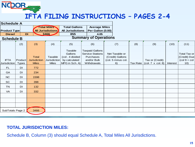

| <b>Schedule A</b>           |                         |                                                     |                                                |                                                                          |                                                                                              |                                                                |                 |                                                                      |                 |                                                                                  |
|-----------------------------|-------------------------|-----------------------------------------------------|------------------------------------------------|--------------------------------------------------------------------------|----------------------------------------------------------------------------------------------|----------------------------------------------------------------|-----------------|----------------------------------------------------------------------|-----------------|----------------------------------------------------------------------------------|
| <b>Product Type</b>         |                         |                                                     | <b>Total Miles</b><br><b>All Jurisdictions</b> | <b>Total Gallons</b><br><b>All Jurisdictions</b>                         | <b>Average Miles</b><br>Per Gallon (0.00)                                                    |                                                                |                 |                                                                      |                 |                                                                                  |
| <b>Diesel</b>               | <b>DI</b>               |                                                     | 3466                                           | 855                                                                      | 4.05                                                                                         |                                                                |                 |                                                                      |                 |                                                                                  |
| <b>Schedule B</b>           |                         |                                                     |                                                |                                                                          | <b>Summary of Operations</b>                                                                 |                                                                |                 |                                                                      |                 |                                                                                  |
|                             | (2)                     | (3)                                                 | (4)                                            | (5)                                                                      | (6)                                                                                          | (7)                                                            | (8)             | (9)                                                                  | (10)            | (11)                                                                             |
| <b>IFTA</b><br>Jurisdiction | Product<br><b>Types</b> | <b>Total</b><br><b>Jurisdiction</b><br><b>Miles</b> | Taxable<br>Jurisdiction<br><b>Miles</b>        | Taxable<br>Gallons<br>(col. 4 divided<br>by calculated<br>MPG in Sch. A) | <b>Taxpaid Gallons</b><br><b>Service Stations</b><br>Purchases<br>and/or Bulk<br>Withdrawals | Net Taxable or<br>(Credit) Gallons<br>(col. 5 minus col.<br>6) | <b>Tax Rate</b> | Tax or (Credit)<br>$\left(\text{col. 7} \times \text{col. 8}\right)$ | <b>Interest</b> | Total Tax or<br>(Credit) Due<br>$\left(\text{col } 9 + \text{col}\right)$<br>10) |
| FL                          | DI                      | 772                                                 |                                                |                                                                          |                                                                                              |                                                                |                 |                                                                      |                 |                                                                                  |
| GA                          | DI                      | 234                                                 |                                                |                                                                          |                                                                                              |                                                                |                 |                                                                      |                 |                                                                                  |
| <b>NC</b>                   | DI                      | 1598                                                |                                                |                                                                          |                                                                                              |                                                                |                 |                                                                      |                 |                                                                                  |
| SC                          | DI                      | 398                                                 |                                                |                                                                          |                                                                                              |                                                                |                 |                                                                      |                 |                                                                                  |
| <b>TN</b>                   | DI                      | 132                                                 |                                                |                                                                          |                                                                                              |                                                                |                 |                                                                      |                 |                                                                                  |
| VA                          | DI                      | 332                                                 |                                                |                                                                          |                                                                                              |                                                                |                 |                                                                      |                 |                                                                                  |
|                             |                         |                                                     |                                                |                                                                          |                                                                                              |                                                                |                 |                                                                      |                 |                                                                                  |
|                             |                         |                                                     |                                                |                                                                          |                                                                                              |                                                                |                 |                                                                      |                 |                                                                                  |
|                             |                         |                                                     |                                                |                                                                          |                                                                                              |                                                                |                 |                                                                      |                 |                                                                                  |
| SubTotals Page 2            |                         | 3466                                                |                                                |                                                                          |                                                                                              |                                                                |                 |                                                                      |                 |                                                                                  |

#### **TOTAL JURISDICTION MILES:**

Schedule B, Column (3) should equal Schedule A, Total Miles All Jurisdictions.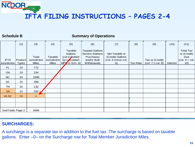**Schedule B**

NCDOR

#### **Summary of Operations**

|                             | (2)                     | (3)                                          | (4)                                     | (5)                                                                                 | (6)                                                                                          | (7)                                                            | (8)             | (9)                                  | (10)     | (11)                                                                  |
|-----------------------------|-------------------------|----------------------------------------------|-----------------------------------------|-------------------------------------------------------------------------------------|----------------------------------------------------------------------------------------------|----------------------------------------------------------------|-----------------|--------------------------------------|----------|-----------------------------------------------------------------------|
| <b>IFTA</b><br>Jurisdiction | Product<br><b>Types</b> | Total<br><b>Jurisdiction</b><br><b>Miles</b> | Taxable<br>Jurisdiction<br><b>Miles</b> | Taxable<br>Gallons<br>(col 4 divided<br>by człculated<br>MP <sup>6</sup> in Sch. A) | <b>Taxpaid Gallons</b><br><b>Service Stations</b><br>Purchases<br>and/or Bulk<br>Withdrawals | Net Taxable or<br>(Credit) Gallons<br>(col. 5 minus col.<br>6) | <b>Tax Rate</b> | Tax or (Credit)<br>(col. 7 x col. 8) | Interest | <b>Total Tax</b><br>or (Credit)<br>Due<br>$ $ (col. $9 +$ col.<br>10) |
| FL                          | <b>DI</b>               | 772                                          |                                         |                                                                                     |                                                                                              |                                                                |                 |                                      |          |                                                                       |
| GA                          | DI                      | 234                                          |                                         |                                                                                     |                                                                                              |                                                                |                 |                                      |          |                                                                       |
| NC                          | DI                      | 1598                                         |                                         |                                                                                     |                                                                                              |                                                                |                 |                                      |          |                                                                       |
| SC                          | DI                      | 398                                          |                                         |                                                                                     |                                                                                              |                                                                |                 |                                      |          |                                                                       |
| <b>TN</b>                   | DI                      | 132                                          |                                         |                                                                                     |                                                                                              |                                                                |                 |                                      |          |                                                                       |
| <b>VA</b>                   | DI                      | 332                                          |                                         |                                                                                     |                                                                                              |                                                                |                 |                                      |          |                                                                       |
| VA SC                       | DI                      | $\mathbf{0}$                                 |                                         |                                                                                     |                                                                                              |                                                                |                 |                                      |          |                                                                       |
|                             |                         |                                              |                                         |                                                                                     |                                                                                              |                                                                |                 |                                      |          |                                                                       |
|                             |                         |                                              |                                         |                                                                                     |                                                                                              |                                                                |                 |                                      |          |                                                                       |
| SubTotals Page 2            |                         | 3466                                         |                                         |                                                                                     |                                                                                              |                                                                |                 |                                      |          |                                                                       |

#### **SURCHARGES:**

A surcharge is a separate tax in addition to the fuel tax. The surcharge is based on taxable gallons. Enter –0– on the Surcharge row for Total Member Jurisdiction Miles.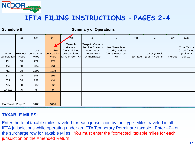

**Schedule B**

#### **Summary of Operations**

|                             | (2)                     | (3)                                          | (4)                                     | (5)                                                                     | (6)                                                                                                 | (7)                                                            | (8)             | (9)                                  | (10)            | (11)                                                    |
|-----------------------------|-------------------------|----------------------------------------------|-----------------------------------------|-------------------------------------------------------------------------|-----------------------------------------------------------------------------------------------------|----------------------------------------------------------------|-----------------|--------------------------------------|-----------------|---------------------------------------------------------|
| <b>IFTA</b><br>Jurisdiction | Product<br><b>Types</b> | Total<br><b>Jurisdiction</b><br><b>Miles</b> | Taxable<br>Jurisdiction<br><b>Miles</b> | Taxable<br>Gallons<br>(col 4 divided<br>by calculated<br>MPG in Sch. A) | <b>Taxpaid Gallons</b><br><b>Service Stations</b><br><b>Purchases</b><br>and/or Bulk<br>Withdrawals | Net Taxable or<br>(Credit) Gallons<br>(col. 5 minus col.<br>6) | <b>Tax Rate</b> | Tax or (Credit)<br>(col. 7 x col. 8) | <b>Interest</b> | Total Tax or<br>(Credit) Due<br>$(col. 9 +$<br>col. 10) |
| FL.                         | DI                      | 772                                          | 772                                     |                                                                         |                                                                                                     |                                                                |                 |                                      |                 |                                                         |
| GA                          | DI                      | 234                                          | 234                                     |                                                                         |                                                                                                     |                                                                |                 |                                      |                 |                                                         |
| <b>NC</b>                   | DI                      | 1598                                         | 1598                                    |                                                                         |                                                                                                     |                                                                |                 |                                      |                 |                                                         |
| <b>SC</b>                   | DI                      | 398                                          | 398                                     |                                                                         |                                                                                                     |                                                                |                 |                                      |                 |                                                         |
| <b>TN</b>                   | DI                      | 132                                          | 132                                     |                                                                         |                                                                                                     |                                                                |                 |                                      |                 |                                                         |
| VA                          | DI                      | 332                                          | 332                                     |                                                                         |                                                                                                     |                                                                |                 |                                      |                 |                                                         |
| VA SC                       | DI                      | $\mathbf{0}$                                 | $\overline{0}$                          |                                                                         |                                                                                                     |                                                                |                 |                                      |                 |                                                         |
|                             |                         |                                              |                                         |                                                                         |                                                                                                     |                                                                |                 |                                      |                 |                                                         |
|                             |                         |                                              |                                         |                                                                         |                                                                                                     |                                                                |                 |                                      |                 |                                                         |
| SubTotals Page 2            |                         | 3466                                         | 3466                                    |                                                                         |                                                                                                     |                                                                |                 |                                      |                 |                                                         |

#### **TAXABLE MILES:**

Enter the total taxable miles traveled for each jurisdiction by fuel type. Miles traveled in all IFTA jurisdictions while operating under an IFTA Temporary Permit are taxable. Enter –0– on the surcharge row for Taxable Miles. You must enter the "corrected" taxable miles for each jurisdiction on the Amended Return.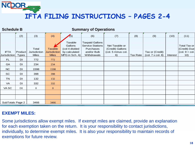#### **Schedule B**

NCDOR

#### **Summary of Operations**

|                  | (2)          | (3)                 | (4)            | (5)            | (6)                     | (7)                | (8)             | (9)               | (10)            | (11)                                        |
|------------------|--------------|---------------------|----------------|----------------|-------------------------|--------------------|-----------------|-------------------|-----------------|---------------------------------------------|
|                  |              |                     |                |                |                         |                    |                 |                   |                 |                                             |
|                  |              |                     |                | Taxable        | <b>Taxpaid Gallons</b>  |                    |                 |                   |                 |                                             |
|                  |              |                     |                | Gallons        | <b>Service Stations</b> | Net Taxable or     |                 |                   |                 | Total Tax or                                |
|                  |              | Total               | <b>Taxable</b> | (col 4 divided | Purchases               | (Credit) Gallons   |                 |                   |                 | (Credit) Due                                |
| <b>IFTA</b>      | Product      | <b>Jurisdiction</b> | Jurisdiction   | by calculated  | and/or Bulk             | (col. 5 minus col. |                 | Tax or (Credit)   |                 | $\left(\text{col. } 9 + \text{col.}\right)$ |
| Jurisdiction     | <b>Types</b> | <b>Miles</b>        | <b>Miles</b>   | MPG in Sch. A) | Withdrawals             | 6)                 | <b>Tax Rate</b> | (col. 7 x col. 8) | <b>Interest</b> | 10)                                         |
| FL.              | DI           | 772                 | 772            |                |                         |                    |                 |                   |                 |                                             |
| GA               | DI           | 234                 | 234            |                |                         |                    |                 |                   |                 |                                             |
| NC               | DI           | 1598                | 1598           |                |                         |                    |                 |                   |                 |                                             |
| <b>SC</b>        | DI           | 398                 | 398            |                |                         |                    |                 |                   |                 |                                             |
| <b>TN</b>        | DI           | 132                 | 132            |                |                         |                    |                 |                   |                 |                                             |
| VA               | DI           | 332                 | 332            |                |                         |                    |                 |                   |                 |                                             |
| VA SC            | DI           | $\overline{0}$      | $\overline{0}$ |                |                         |                    |                 |                   |                 |                                             |
|                  |              |                     |                |                |                         |                    |                 |                   |                 |                                             |
|                  |              |                     |                |                |                         |                    |                 |                   |                 |                                             |
| SubTotals Page 2 |              | 3466                | 3466           |                |                         |                    |                 |                   |                 |                                             |

#### **EXEMPT MILES:**

Some jurisdictions allow exempt miles. If exempt miles are claimed, provide an explanation for each exemption taken on the return. It is your responsibility to contact jurisdictions, individually, to determine exempt miles. It is also your responsibility to maintain records of exemptions for future review.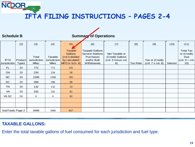**Schedule B**

NCDOR.

### **Summary of Operations**

|                             | (2)                     | (3)                                   | (4)                                     | (5)                                                                                   | (6)                                                                                          | (7)                                                            | (8)      | (9)                                  | (10)            | (11)                                                                  |
|-----------------------------|-------------------------|---------------------------------------|-----------------------------------------|---------------------------------------------------------------------------------------|----------------------------------------------------------------------------------------------|----------------------------------------------------------------|----------|--------------------------------------|-----------------|-----------------------------------------------------------------------|
| <b>IFTA</b><br>Jurisdiction | Product<br><b>Types</b> | Total<br>Jurisdiction<br><b>Miles</b> | Taxable<br>Jurisdiction<br><b>Miles</b> | <b>Taxable</b><br><b>Gallons</b><br>(col 4 divided<br>by calculated<br>MPG in Sch. A) | <b>Taxpaid Gallons</b><br><b>Service Stations</b><br>Purchases<br>and/or Bulk<br>Withdrawals | Net Taxable or<br>(Credit) Gallons<br>(col. 5 minus col.<br>6) | Tax Rate | Tax or (Credit)<br>(col. 7 x col. 8) | <b>Interest</b> | <b>Total Tax</b><br>or (Credit)<br>Due<br>$ $ (col. $9 +$ col.<br>10) |
| FL                          | DI                      | 772                                   | 772                                     | 191                                                                                   |                                                                                              |                                                                |          |                                      |                 |                                                                       |
| GA                          | DI                      | 234                                   | 234                                     | 58                                                                                    |                                                                                              |                                                                |          |                                      |                 |                                                                       |
| <b>NC</b>                   | DI                      | 1598                                  | 1598                                    | 395                                                                                   |                                                                                              |                                                                |          |                                      |                 |                                                                       |
| SC                          | DI                      | 398                                   | 398                                     | 98                                                                                    |                                                                                              |                                                                |          |                                      |                 |                                                                       |
| <b>TN</b>                   | DI                      | 132                                   | 132                                     | 33                                                                                    |                                                                                              |                                                                |          |                                      |                 |                                                                       |
| VA                          | DI                      | 332                                   | 332                                     | 82                                                                                    |                                                                                              |                                                                |          |                                      |                 |                                                                       |
| VA SC                       | DI                      | $\theta$                              | $\overline{0}$                          | 82                                                                                    |                                                                                              |                                                                |          |                                      |                 |                                                                       |
|                             |                         |                                       |                                         |                                                                                       |                                                                                              |                                                                |          |                                      |                 |                                                                       |
|                             |                         |                                       |                                         |                                                                                       |                                                                                              |                                                                |          |                                      |                 |                                                                       |
| SubTotals Page 2            |                         | 3466                                  | 3466                                    | 857                                                                                   |                                                                                              |                                                                |          |                                      |                 |                                                                       |

#### **TAXABLE GALLONS:**

Enter the total taxable gallons of fuel consumed for each jurisdiction and fuel type.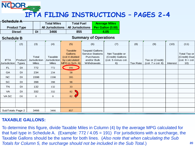| Schedule A                         |                         |                                       |                                         |                                                                         |                                                                                              |                                                                |                 |                                      |                 |                                                               |
|------------------------------------|-------------------------|---------------------------------------|-----------------------------------------|-------------------------------------------------------------------------|----------------------------------------------------------------------------------------------|----------------------------------------------------------------|-----------------|--------------------------------------|-----------------|---------------------------------------------------------------|
|                                    |                         |                                       | <b>Total Miles</b>                      | <b>Total Fuel</b>                                                       |                                                                                              | <b>Average Miles</b>                                           |                 |                                      |                 |                                                               |
|                                    | <b>Product Type</b>     |                                       | <b>All Jurisdictions</b>                | <b>All Jurisdictions</b>                                                |                                                                                              | Per Gallon (0.00)                                              |                 |                                      |                 |                                                               |
|                                    | <b>Diesel</b>           | DI                                    | 3466                                    | 855                                                                     |                                                                                              | 4.05                                                           |                 |                                      |                 |                                                               |
| <b>Schedule B</b>                  |                         |                                       |                                         |                                                                         | <b>Summary of Operations</b>                                                                 |                                                                |                 |                                      |                 |                                                               |
|                                    | (2)                     | (3)                                   | (4)                                     | (5)                                                                     | (6)                                                                                          | (7)                                                            | (8)             | (9)                                  | (10)            | (11)                                                          |
| <b>IFTA</b><br><b>Jurisdiction</b> | Product<br><b>Types</b> | Total<br>Jurisdiction<br><b>Miles</b> | Taxable<br>Jurisdiction<br><b>Miles</b> | Taxable<br>Gallons<br>(col 4 divided<br>by calculated<br>MPG in Sch. A) | <b>Taxpaid Gallons</b><br><b>Service Stations</b><br>Purchases<br>and/or Bulk<br>Withdrawals | Net Taxable or<br>(Credit) Gallons<br>(col. 5 minus col.<br>6) | <b>Tax Rate</b> | Tax or (Credit)<br>(col. 7 x col. 8) | <b>Interest</b> | Total Tax or<br>(Credit) Due<br>$\vert$ (col. 9 + col.<br>10) |
| <b>FL</b>                          | DI                      | 772                                   | 772                                     | 191                                                                     |                                                                                              |                                                                |                 |                                      |                 |                                                               |
| GA                                 | DI                      | 234                                   | 234                                     | 58                                                                      |                                                                                              |                                                                |                 |                                      |                 |                                                               |
| NC                                 | DI                      | 1598                                  | 1598                                    | 395                                                                     |                                                                                              |                                                                |                 |                                      |                 |                                                               |
| SC                                 | DI                      | 398                                   | 398                                     | 98                                                                      |                                                                                              |                                                                |                 |                                      |                 |                                                               |
| <b>TN</b>                          | DI                      | 132                                   | 132                                     | 33                                                                      |                                                                                              |                                                                |                 |                                      |                 |                                                               |
| VA                                 | DI                      | 332                                   | 332                                     | 82                                                                      |                                                                                              |                                                                |                 |                                      |                 |                                                               |
| VA SC                              | DI                      | $\theta$                              | $\mathbf{O}$                            | 82                                                                      |                                                                                              |                                                                |                 |                                      |                 |                                                               |
|                                    |                         |                                       |                                         |                                                                         |                                                                                              |                                                                |                 |                                      |                 |                                                               |
|                                    |                         |                                       |                                         |                                                                         |                                                                                              |                                                                |                 |                                      |                 |                                                               |
| SubTotals Page 2                   |                         | 3466                                  | 3466                                    | 857                                                                     |                                                                                              |                                                                |                 |                                      |                 |                                                               |

#### **TAXABLE GALLONS:**

To determine this figure, divide Taxable Miles in Column (4) by the average MPG calculated for that fuel type in Schedule A. (Example: 772 / 4.05 = 191) For jurisdictions with a surcharge, the Taxable Gallons should be the same for both lines. (*Also note that when calculating the Sub Totals for Column 5, the surcharge should not be included in the Sub Total*.)

**20**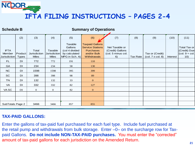**Schedule B**

NCDOR

#### **Summary of Operations**

|                                       | (2)                     | (3)                                          | (4)                                     | (5)                                                                     | (6)                                                                                                        | (7)                                                            | (8)             | (9)                                  | (10)     | (11)                                                                               |
|---------------------------------------|-------------------------|----------------------------------------------|-----------------------------------------|-------------------------------------------------------------------------|------------------------------------------------------------------------------------------------------------|----------------------------------------------------------------|-----------------|--------------------------------------|----------|------------------------------------------------------------------------------------|
| <b>IFTA</b><br>Member<br>Jurisdiction | Product<br><b>Types</b> | Total<br><b>Jurisdiction</b><br><b>Miles</b> | Taxable<br>Jurisdiction<br><b>Miles</b> | Taxable<br>Gallons<br>(col 4 divided<br>by calculated<br>MPG in Sch. A) | <b>Taxpaid Gallons</b><br><b>Service Stations</b><br><b>Purchases</b><br>and/or Bulk<br><b>Withdrawals</b> | Net Taxable or<br>(Credit) Gallons<br>(col. 5 minus col.<br>6) | <b>Tax Rate</b> | Tax or (Credit)<br>(col. 7 x col. 8) | Interest | Total Tax or<br>(Credit) Due<br>$\left(\text{col. } 9 + \text{col.}\right)$<br>10) |
| FL.                                   | <b>DI</b>               | 772                                          | 772                                     | 191                                                                     | 110                                                                                                        |                                                                |                 |                                      |          |                                                                                    |
| GA                                    | DI                      | 234                                          | 234                                     | 58                                                                      | 130                                                                                                        |                                                                |                 |                                      |          |                                                                                    |
| NC                                    | DI                      | 1598                                         | 1598                                    | 395                                                                     | 399                                                                                                        |                                                                |                 |                                      |          |                                                                                    |
| SC                                    | DI                      | 398                                          | 398                                     | 98                                                                      | 89                                                                                                         |                                                                |                 |                                      |          |                                                                                    |
| <b>TN</b>                             | DI                      | 132                                          | 132                                     | 33                                                                      | $\mathbf{0}$                                                                                               |                                                                |                 |                                      |          |                                                                                    |
| VA                                    | <b>DI</b>               | 332                                          | 332                                     | 82                                                                      | 127                                                                                                        |                                                                |                 |                                      |          |                                                                                    |
| VA SC                                 | DI                      | $\overline{0}$                               | $\mathbf{0}$                            | 82                                                                      | $\mathbf{0}$                                                                                               |                                                                |                 |                                      |          |                                                                                    |
|                                       |                         |                                              |                                         |                                                                         |                                                                                                            |                                                                |                 |                                      |          |                                                                                    |
|                                       |                         |                                              |                                         |                                                                         |                                                                                                            |                                                                |                 |                                      |          |                                                                                    |
| SubTotals Page 2                      |                         | 3466                                         | 3466                                    | 857                                                                     | 855                                                                                                        |                                                                |                 |                                      |          |                                                                                    |

#### **TAX-PAID GALLONS:**

Enter the gallons of tax-paid fuel purchased for each fuel type. Include fuel purchased at the retail pump and withdrawals from bulk storage. Enter –0– on the surcharge row for Taxpaid Gallons. **Do not include NON-TAX-PAID purchases.** You must enter the "corrected" amount of tax-paid gallons for each jurisdiction on the Amended Return.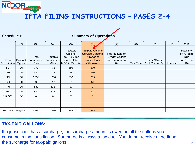| <b>Schedule B</b>                  |                         |                                       |                                          |                                                                         | <b>Summary of Operations</b>                                                                               |                                                                |                 |                                      |                 |                                                                       |
|------------------------------------|-------------------------|---------------------------------------|------------------------------------------|-------------------------------------------------------------------------|------------------------------------------------------------------------------------------------------------|----------------------------------------------------------------|-----------------|--------------------------------------|-----------------|-----------------------------------------------------------------------|
|                                    | (2)                     | (3)                                   | (4)                                      | (5)                                                                     | (6)                                                                                                        | (7)                                                            | (8)             | (9)                                  | (10)            | (11)                                                                  |
| <b>IFTA</b><br><b>Jurisdiction</b> | Product<br><b>Types</b> | Total<br>Jurisdiction<br><b>Miles</b> | Taxable<br>Jurisdiction <br><b>Miles</b> | Taxable<br>Gallons<br>(col 4 divided<br>by calculated<br>MPG in Sch. A) | <b>Taxpaid Gallons</b><br><b>Service Stations</b><br><b>Purchases</b><br>and/or Bulk<br><b>Withdrawals</b> | Net Taxable or<br>(Credit) Gallons<br>(col. 5 minus col.<br>6) | <b>Tax Rate</b> | Tax or (Credit)<br>(col. 7 x col. 8) | <b>Interest</b> | <b>Total Tax</b><br>or (Credit)<br>Due<br>$ $ (col. $9 +$ col.<br>10) |
| <b>FL</b>                          | <b>DI</b>               | 772                                   | 772                                      | 191                                                                     | 110                                                                                                        |                                                                |                 |                                      |                 |                                                                       |
| <b>GA</b>                          | DI                      | 234                                   | 234                                      | 58                                                                      | 130                                                                                                        |                                                                |                 |                                      |                 |                                                                       |
| <b>NC</b>                          | DI                      | 1598                                  | 1598                                     | 395                                                                     | 399                                                                                                        |                                                                |                 |                                      |                 |                                                                       |
| <b>SC</b>                          | DI                      | 398                                   | 398                                      | 98                                                                      | 89                                                                                                         |                                                                |                 |                                      |                 |                                                                       |
| <b>TN</b>                          | DI                      | 132                                   | 132                                      | 33                                                                      | $\mathbf{0}$                                                                                               |                                                                |                 |                                      |                 |                                                                       |
| <b>VA</b>                          | DI                      | 332                                   | 332                                      | 82                                                                      | 127                                                                                                        |                                                                |                 |                                      |                 |                                                                       |
| VA SC                              | DI                      | $\mathbf{0}$                          | $\mathbf{0}$                             | 82                                                                      | $\mathbf{0}$                                                                                               |                                                                |                 |                                      |                 |                                                                       |
|                                    |                         |                                       |                                          |                                                                         |                                                                                                            |                                                                |                 |                                      |                 |                                                                       |
|                                    |                         |                                       |                                          |                                                                         |                                                                                                            |                                                                |                 |                                      |                 |                                                                       |
| SubTotals Page 2                   |                         | 3466                                  | 3466                                     | 857                                                                     | 855                                                                                                        |                                                                |                 |                                      |                 |                                                                       |

#### **TAX-PAID GALLONS:**

NCDOR

If a jurisdiction has a surcharge, the surcharge amount is owed on all the gallons you consume in that jurisdiction. Surcharge is always a tax due. You do not receive a credit on the surcharge for tax-paid gallons.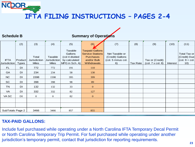| <b>Schedule B</b>                  |                         |                                       |                                         |                                                                         | <b>Summary of Operations</b>                                                                        |                                                                |                 |                                      |                 |                                                             |
|------------------------------------|-------------------------|---------------------------------------|-----------------------------------------|-------------------------------------------------------------------------|-----------------------------------------------------------------------------------------------------|----------------------------------------------------------------|-----------------|--------------------------------------|-----------------|-------------------------------------------------------------|
|                                    | (2)                     | (3)                                   | (4)                                     | (5)                                                                     | (6)                                                                                                 | (7)                                                            | (8)             | (9)                                  | (10)            | (11)                                                        |
| <b>IFTA</b><br><b>Jurisdiction</b> | Product<br><b>Types</b> | Total<br>Jurisdiction<br><b>Miles</b> | Taxable<br>Jurisdiction<br><b>Miles</b> | Taxable<br>Gallons<br>(col 4 divided<br>by calculated<br>MPG in Sch. A) | <b>Taxpaid Gallons</b><br><b>Service Stations</b><br><b>Purchases</b><br>and/or Bulk<br>Withdrawals | Net Taxable or<br>(Credit) Gallons<br>(col. 5 minus col.<br>6) | <b>Tax Rate</b> | Tax or (Credit)<br>(col. 7 x col. 8) | <b>Interest</b> | Total Tax or<br>(Credit) Due<br>$ $ (col. $9 +$ col.<br>10) |
| FL.                                | DI                      | 772                                   | 772                                     | 191                                                                     | <b>110</b>                                                                                          |                                                                |                 |                                      |                 |                                                             |
| GA                                 | DI                      | 234                                   | 234                                     | 58                                                                      | 130                                                                                                 |                                                                |                 |                                      |                 |                                                             |
| NC                                 | DI                      | 1598                                  | 1598                                    | 395                                                                     | 399                                                                                                 |                                                                |                 |                                      |                 |                                                             |
| SC                                 | DI                      | 398                                   | 398                                     | 98                                                                      | 89                                                                                                  |                                                                |                 |                                      |                 |                                                             |
| <b>TN</b>                          | DI                      | 132                                   | 132                                     | 33                                                                      | $\mathbf{0}$                                                                                        |                                                                |                 |                                      |                 |                                                             |
| VA                                 | DI                      | 332                                   | 332                                     | 82                                                                      | 127                                                                                                 |                                                                |                 |                                      |                 |                                                             |
| VA SC                              | DI                      | $\mathbf{0}$                          | $\mathbf{0}$                            | 82                                                                      | $\mathbf{O}$                                                                                        |                                                                |                 |                                      |                 |                                                             |
|                                    |                         |                                       |                                         |                                                                         |                                                                                                     |                                                                |                 |                                      |                 |                                                             |
|                                    |                         |                                       |                                         |                                                                         |                                                                                                     |                                                                |                 |                                      |                 |                                                             |
| SubTotals Page 2                   |                         | 3466                                  | 3466                                    | 857                                                                     | 855                                                                                                 |                                                                |                 |                                      |                 |                                                             |

#### **TAX-PAID GALLONS:**

NCDOR

Include fuel purchased while operating under a North Carolina IFTA Temporary Decal Permit or North Carolina Temporary Trip Permit. For fuel purchased while operating under another jurisdiction's temporary permit, contact that jurisdiction for reporting requirements.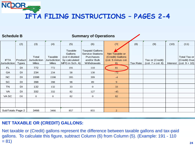| <b>Schedule B</b>           |                         |                                       |                                          |                                                                         | <b>Summary of Operations</b>                                                                 |                                                                |                 |                                      |                 |                                                               |
|-----------------------------|-------------------------|---------------------------------------|------------------------------------------|-------------------------------------------------------------------------|----------------------------------------------------------------------------------------------|----------------------------------------------------------------|-----------------|--------------------------------------|-----------------|---------------------------------------------------------------|
|                             | (2)                     | (3)                                   | (4)                                      | (5)                                                                     | (6)                                                                                          | (7(                                                            | (8)             | (9)                                  | (10)            | (11)                                                          |
| <b>IFTA</b><br>Jurisdiction | Product<br><b>Types</b> | Total<br>Jurisdiction<br><b>Miles</b> | Taxable<br>Jurisdiction <br><b>Miles</b> | Taxable<br>Gallons<br>(col 4 divided<br>by calculated<br>MPG in Sch. A) | <b>Taxpaid Gallons</b><br><b>Service Stations</b><br>Purchases<br>and/or Bulk<br>Withdrawals | Net Taxable or<br>(Credit) Gallons<br>(col. 5 minus col.<br>6) | <b>Tax Rate</b> | Tax or (Credit)<br>(col. 7 x col. 8) | <b>Interest</b> | Total Tax or<br>(Credit) Due<br>$\vert$ (col. 9 + 10) $\vert$ |
| FL                          | DI                      | 772                                   | 772                                      | 191                                                                     | 110                                                                                          | 81                                                             |                 |                                      |                 |                                                               |
| GA                          | DI                      | 234                                   | 234                                      | 58                                                                      | 130                                                                                          | $-72$                                                          |                 |                                      |                 |                                                               |
| <b>NC</b>                   | DI                      | 1598                                  | 1598                                     | 395                                                                     | 399                                                                                          | $-4$                                                           |                 |                                      |                 |                                                               |
| SC                          | DI                      | 398                                   | 398                                      | 98                                                                      | 89                                                                                           | 9                                                              |                 |                                      |                 |                                                               |
| <b>TN</b>                   | DI                      | 132                                   | 132                                      | 33                                                                      | $\mathbf{0}$                                                                                 | 33                                                             |                 |                                      |                 |                                                               |
| VA                          | DI                      | 332                                   | 332                                      | 82                                                                      | 127                                                                                          | $-45$                                                          |                 |                                      |                 |                                                               |
| VA SC                       | DI                      | $\mathbf{0}$                          | $\overline{0}$                           | 82                                                                      | $\mathbf{0}$                                                                                 | 82                                                             |                 |                                      |                 |                                                               |
|                             |                         |                                       |                                          |                                                                         |                                                                                              |                                                                |                 |                                      |                 |                                                               |
|                             |                         |                                       |                                          |                                                                         |                                                                                              |                                                                |                 |                                      |                 |                                                               |
| SubTotals Page 2            |                         | 3466                                  | 3466                                     | 857                                                                     | 855                                                                                          | $\overline{2}$                                                 |                 |                                      |                 |                                                               |

#### **NET TAXABLE OR (CREDIT) GALLONS:**

NCDOR

Net taxable or (Credit) gallons represent the difference between taxable gallons and tax-paid gallons. To calculate this figure, subtract Column (6) from Column (5). (Example: 191 - 110  $= 81$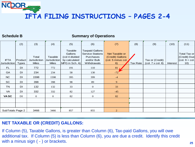**Schedule B**

NCDOR

#### **Summary of Operations**

|                                    | (2)                     | (3)                                          | (4)                                     | (5)                                                                     | (6)                                                                                          | (7)                                                            | (8)             | (9)                                  | (10)     | (11)                                                                               |
|------------------------------------|-------------------------|----------------------------------------------|-----------------------------------------|-------------------------------------------------------------------------|----------------------------------------------------------------------------------------------|----------------------------------------------------------------|-----------------|--------------------------------------|----------|------------------------------------------------------------------------------------|
| <b>IFTA</b><br><b>Jurisdiction</b> | Product<br><b>Types</b> | Total<br><b>Jurisdiction</b><br><b>Miles</b> | Taxable<br>Jurisdiction<br><b>Miles</b> | Taxable<br>Gallons<br>(col 4 divided<br>by calculated<br>MPG in Sch. A) | <b>Taxpaid Gallons</b><br><b>Service Stations</b><br>Purchases<br>and/or Bulk<br>Withdrawals | Net Taxable or<br>(Credit) Gallons<br>(col. 5 minus col.<br>6) | <b>Tax Rate</b> | Tax or (Credit)<br>(col. 7 x col. 8) | Interest | Total Tax or<br>(Credit) Due<br>$\left(\text{col. } 9 + \text{col.}\right)$<br>10) |
| <b>FL</b>                          | <b>DI</b>               | 772                                          | 772                                     | 191                                                                     | 110                                                                                          | 81                                                             |                 |                                      |          |                                                                                    |
| GA                                 | DI                      | 234                                          | 234                                     | 58                                                                      | 130                                                                                          | $-72'$                                                         |                 |                                      |          |                                                                                    |
| NC                                 | DI                      | 1598                                         | 1598                                    | 395                                                                     | 399                                                                                          | $-4$                                                           |                 |                                      |          |                                                                                    |
| SC                                 | DI                      | 398                                          | 398                                     | 98                                                                      | 89                                                                                           | 9                                                              |                 |                                      |          |                                                                                    |
| <b>TN</b>                          | DI                      | 132                                          | 132                                     | 33                                                                      | $\mathbf{0}$                                                                                 | 33                                                             |                 |                                      |          |                                                                                    |
| VA                                 | DI                      | 332                                          | 332                                     | 82                                                                      | 127                                                                                          | $-45$                                                          |                 |                                      |          |                                                                                    |
| <b>VASC</b>                        | DI                      | $\theta$                                     | $\Omega$                                | 82                                                                      | $\overline{0}$                                                                               | 82                                                             |                 |                                      |          |                                                                                    |
|                                    |                         |                                              |                                         |                                                                         |                                                                                              |                                                                |                 |                                      |          |                                                                                    |
|                                    |                         |                                              |                                         |                                                                         |                                                                                              |                                                                |                 |                                      |          |                                                                                    |
| SubTotals Page 2                   |                         | 3466                                         | 3466                                    | 857                                                                     | 855                                                                                          | $\overline{2}$                                                 |                 |                                      |          |                                                                                    |

#### **NET TAXABLE OR (CREDIT) GALLONS:**

If Column (5), Taxable Gallons, is greater than Column (6), Tax-paid Gallons, you will owe additional tax. If Column (5) is less than Column (6), you are due a credit. Identify this credit with a minus sign ( - ) or brackets.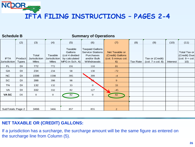| <b>Schedule B</b>           |                         |                                              |                                          |                                                                         | <b>Summary of Operations</b>                                                                 |                                                                |                 |                                      |                 |                                                                                    |
|-----------------------------|-------------------------|----------------------------------------------|------------------------------------------|-------------------------------------------------------------------------|----------------------------------------------------------------------------------------------|----------------------------------------------------------------|-----------------|--------------------------------------|-----------------|------------------------------------------------------------------------------------|
|                             | (2)                     | (3)                                          | (4)                                      | (5)                                                                     | (6)                                                                                          | (7)                                                            | (8)             | (9)                                  | (10)            | (11)                                                                               |
| <b>IFTA</b><br>Jurisdiction | Product<br><b>Types</b> | Total<br><b>Jurisdiction</b><br><b>Miles</b> | Taxable<br>Jurisdiction <br><b>Miles</b> | Taxable<br>Gallons<br>(col 4 divided<br>by calculated<br>MPG in Sch. A) | <b>Taxpaid Gallons</b><br><b>Service Stations</b><br>Purchases<br>and/or Bulk<br>Withdrawals | Net Taxable or<br>(Credit) Gallons<br>(col. 5 minus col.<br>6) | <b>Tax Rate</b> | Tax or (Credit)<br>(col. 7 x col. 8) | <b>Interest</b> | Total Tax or<br>(Credit) Due<br>$\left(\text{col. } 9 + \text{col.}\right)$<br>10) |
| <b>FL</b>                   | DI                      | 772                                          | 772                                      | 191                                                                     | 110                                                                                          | 81                                                             |                 |                                      |                 |                                                                                    |
| GA                          | DI                      | 234                                          | 234                                      | 58                                                                      | 130                                                                                          | $-72$                                                          |                 |                                      |                 |                                                                                    |
| NC                          | DI                      | 1598                                         | 1598                                     | 395                                                                     | 399                                                                                          | $-4$                                                           |                 |                                      |                 |                                                                                    |
| <b>SC</b>                   | DI                      | 398                                          | 398                                      | 98                                                                      |                                                                                              | 9                                                              |                 |                                      |                 |                                                                                    |
| <b>TN</b>                   | DI                      | 132                                          | 132                                      | 33                                                                      | $\overline{0}$                                                                               | 33                                                             |                 |                                      |                 |                                                                                    |
| VA                          | DI                      | 332                                          | 332                                      | 82                                                                      | 127                                                                                          | $-45$                                                          |                 |                                      |                 |                                                                                    |
| <b>VASC</b>                 | DI                      | $\theta$                                     | $\overline{0}$                           | 82                                                                      | $\mathbf{0}$                                                                                 | 82                                                             |                 |                                      |                 |                                                                                    |
|                             |                         |                                              |                                          |                                                                         |                                                                                              |                                                                |                 |                                      |                 |                                                                                    |
|                             |                         |                                              |                                          |                                                                         |                                                                                              |                                                                |                 |                                      |                 |                                                                                    |
| SubTotals Page 2            |                         | 3466                                         | 3466                                     | 857                                                                     | 855                                                                                          | $\overline{2}$                                                 |                 |                                      |                 |                                                                                    |

#### **NET TAXABLE OR (CREDIT) GALLONS:**

NCDOR

If a jurisdiction has a surcharge, the surcharge amount will be the same figure as entered on the surcharge line from Column (5).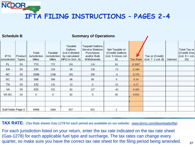#### **Schedule B**

NCDOR

#### **Summary of Operations**

| <b>IFTA</b><br>Jurisdiction | Product<br><b>Types</b> | Total<br><b>Jurisdiction</b><br><b>Miles</b> | Taxable<br>Jurisdiction <br><b>Miles</b> | Taxable<br>Gallons<br>(col 4 divided<br>by calculated<br>MPG in Sch. A) | <b>Taxpaid Gallons</b><br><b>Service Stations</b><br>Purchases<br>and/or Bulk<br>Withdrawals | Net Taxable or<br>(Credit) Gallons<br>(col. 5 minus col.<br>6) | <b>Tax Rate</b> | Tax or (Credit)<br>(col. 7 x col. 8) | <b>Interest</b> | Total Tax or<br>(Credit) Due<br>$ $ (col. 9 + col.<br>10) |
|-----------------------------|-------------------------|----------------------------------------------|------------------------------------------|-------------------------------------------------------------------------|----------------------------------------------------------------------------------------------|----------------------------------------------------------------|-----------------|--------------------------------------|-----------------|-----------------------------------------------------------|
| FL                          | DI                      | 772                                          | 772                                      | 191                                                                     | 110                                                                                          | 81                                                             | 0.3307          |                                      |                 |                                                           |
| GA                          | <b>DI</b>               | 234                                          | 234                                      | 58                                                                      | 130                                                                                          | $-72$                                                          | 0.184           |                                      |                 |                                                           |
| <b>NC</b>                   | <b>DI</b>               | 1598                                         | 1598                                     | 395                                                                     | 399                                                                                          | $-4$                                                           | 0.376           |                                      |                 |                                                           |
| <b>SC</b>                   | <b>DI</b>               | 398                                          | 398                                      | 98                                                                      | 89                                                                                           | 9                                                              | 0.16            |                                      |                 |                                                           |
| <b>TN</b>                   | <b>DI</b>               | 132                                          | 132                                      | 33                                                                      | $\overline{0}$                                                                               | 33                                                             | 0.17            |                                      |                 |                                                           |
| VA                          | DI                      | 332                                          | 332                                      | 82                                                                      | 127                                                                                          | $-45$                                                          | 0.202           |                                      |                 |                                                           |
| VA SC                       | DI                      | $\mathbf{0}$                                 | $\overline{0}$                           | 82                                                                      | $\theta$                                                                                     | 82                                                             | 0.035           |                                      |                 |                                                           |
|                             |                         |                                              |                                          |                                                                         |                                                                                              |                                                                |                 |                                      |                 |                                                           |
|                             |                         |                                              |                                          |                                                                         |                                                                                              |                                                                |                 |                                      |                 |                                                           |
| SubTotals Page 2            |                         | 3466                                         | 3466                                     | 857                                                                     | 855                                                                                          | 2                                                              |                 |                                      |                 |                                                           |
|                             |                         |                                              |                                          |                                                                         |                                                                                              |                                                                |                 |                                      |                 |                                                           |

**TAX RATE:** (Tax Rate sheets Gas-1278 for each period are available on our website: www.dornc.com/downloads/ifta)

For each jurisdiction listed on your return, enter the tax rate indicated on the tax rate sheet (Gas-1278) for each applicable fuel type and surcharge. The tax rates can change every quarter, so make sure you have the correct tax rate sheet for the filing period being amended.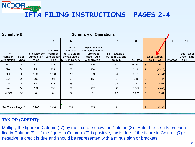| <b>Schedule B</b>                     |                      |                                                            |                                                    |                                                                                | <b>Summary of Operations</b>                                                                        |                                                                      |                 |                                                          |          |                                                                 |
|---------------------------------------|----------------------|------------------------------------------------------------|----------------------------------------------------|--------------------------------------------------------------------------------|-----------------------------------------------------------------------------------------------------|----------------------------------------------------------------------|-----------------|----------------------------------------------------------|----------|-----------------------------------------------------------------|
|                                       | $-2$                 | $-3$                                                       | $-4$                                               | 5                                                                              | 6                                                                                                   | $-7$                                                                 | 8               | $\overline{9}$                                           | 10       | 11                                                              |
| <b>IFTA</b><br>Member<br>Jurisdiction | Fuel<br><b>Types</b> | <b>Total Member</b><br><b>Jurisdiction</b><br><b>Miles</b> | Taxable<br>Member<br>Jurisdiction <br><b>Miles</b> | Taxable<br><b>Gallons</b><br>(col C divided<br>by calculated<br>MPG in Sch. A) | <b>Taxpaid Gallons</b><br><b>Service Stations</b><br><b>Purchases</b><br>and/or Bulk<br>Withdrawals | Net Taxable or<br>(Credit) Gallons<br>$\left(\text{col } D-E\right)$ | <b>Tax Rate</b> | Tax or (Credit)<br>$\left(\text{col } F \times G\right)$ | Interest | Total Tax or<br>(Credit) Due<br>$\left(\text{col H} + I\right)$ |
| FL.                                   | DI                   | 772                                                        | 772                                                | 191                                                                            | 110                                                                                                 | 81                                                                   | 0.3307          | 26.79<br>$\mathfrak{L}$                                  |          |                                                                 |
| GA                                    | DI                   | 234                                                        | 234                                                | 58                                                                             | 130                                                                                                 | $-72$                                                                | 0.184           | \$<br>(13.25)                                            |          |                                                                 |
| NC                                    | DI                   | 1598                                                       | 1598                                               | 395                                                                            | 399                                                                                                 | $-4$                                                                 | 0.376           | $\mathcal{S}$<br>(1.51)                                  |          |                                                                 |
| <b>SC</b>                             | DI                   | 398                                                        | 398                                                | 98                                                                             | 89                                                                                                  | 9                                                                    | 0.16            | $\mathfrak{L}$<br>1.44                                   |          |                                                                 |
| <b>TN</b>                             | DI                   | 132                                                        | 132                                                | 33                                                                             | $\theta$                                                                                            | 33                                                                   | 0.17            | \$<br>5.61                                               |          |                                                                 |
| VA                                    | DI                   | 332                                                        | 332                                                | 82                                                                             | 127                                                                                                 | $-45$                                                                | 0.202           | $\frac{1}{2}$<br>(9.09)                                  |          |                                                                 |
| VA SC                                 | DI                   | $\mathbf{0}$                                               | $\mathbf{0}$                                       | 82                                                                             | $\mathbf{0}$                                                                                        | 82                                                                   | 0.035           | \$<br>2.87                                               |          |                                                                 |
|                                       |                      |                                                            |                                                    |                                                                                |                                                                                                     |                                                                      |                 |                                                          |          |                                                                 |
|                                       |                      |                                                            |                                                    |                                                                                |                                                                                                     |                                                                      |                 |                                                          |          |                                                                 |
| SubTotals Page 2                      |                      | 3466                                                       | 3466                                               | 857                                                                            | 855                                                                                                 | 2                                                                    |                 | $\mathbb{S}$<br>12.86                                    |          |                                                                 |

#### **TAX OR (CREDIT):**

NCDOR.

Multiply the figure in Column ( 7) by the tax rate shown in Column (8). Enter the results on each line in Column (9). If the figure in Column (7) is positive, tax is due. If the figure in Column (7) is negative, a credit is due and should be represented with a minus sign or brackets.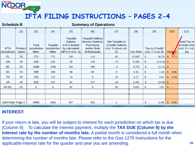#### **Schedule B**

#### **Summary of Operations**

|                             | (2)                            | (3)                                          | (4)                                      | (5)                                                                     | (6)                                                                                          | (7)                                                            | (8)             | (9)                                                                    | (10)                  | (11)                                                                               |
|-----------------------------|--------------------------------|----------------------------------------------|------------------------------------------|-------------------------------------------------------------------------|----------------------------------------------------------------------------------------------|----------------------------------------------------------------|-----------------|------------------------------------------------------------------------|-----------------------|------------------------------------------------------------------------------------|
| <b>IFTA</b><br>Jurisdiction | <b>Product</b><br><b>Types</b> | Total<br><b>Jurisdiction</b><br><b>Miles</b> | Taxable<br>Jurisdiction <br><b>Miles</b> | Taxable<br>Gallons<br>(col 4 divided<br>by calculated<br>MPG in Sch. A) | <b>Taxpaid Gallons</b><br><b>Service Stations</b><br>Purchases<br>and/or Bulk<br>Withdrawals | Net Taxable or<br>(Credit) Gallons<br>(col. 5 minus col.<br>6) | <b>Tax Rate</b> | Tax or (Credit)<br>$\left(\text{col. } 7 \times \text{col. } 8\right)$ | Interest              | Total Tax or<br>(Credit) Due<br>$\left(\text{col. } 9 + \text{col.}\right)$<br>10) |
| <b>FL</b>                   | DI                             | 772                                          | 772                                      | 191                                                                     | 110                                                                                          | 81                                                             | 0.3307          | \$<br>26.79                                                            | $\mathcal{S}$<br>0.72 |                                                                                    |
| GA                          | DI                             | 234                                          | 234                                      | 58                                                                      | 130                                                                                          | $-72$                                                          | 0.184           | \$<br>$(13.25)$ \$ -                                                   |                       |                                                                                    |
| NC                          | DI                             | 1598                                         | 1598                                     | 395                                                                     | 399                                                                                          | $-4$                                                           | 0.376           | $\boldsymbol{\mathsf{S}}$<br>$(1.51)$ \$ -                             |                       |                                                                                    |
| <b>SC</b>                   | DI                             | 398                                          | 398                                      | 98                                                                      | 89                                                                                           | 9                                                              | 0.16            | \$<br>1.44                                                             | 0.06<br>$\mathcal{S}$ |                                                                                    |
| <b>TN</b>                   | DI                             | 132                                          | 132                                      | 33                                                                      | $\mathbf{0}$                                                                                 | 33                                                             | 0.17            | 5.61<br>\$                                                             | $\mathbb{S}$<br>0.18  |                                                                                    |
| VA                          | DI                             | 332                                          | 332                                      | 82                                                                      | 127                                                                                          | $-45$                                                          | 0.202           | $\mathcal{L}$<br>$(9.09)$ \$ -                                         |                       |                                                                                    |
| VA SC                       | DI                             | $\mathbf{0}$                                 | $\overline{0}$                           | 82                                                                      | $\mathbf{0}$                                                                                 | 82                                                             | 0.035           | 2.87<br>\$                                                             | $\int$ -              |                                                                                    |
|                             |                                |                                              |                                          |                                                                         |                                                                                              |                                                                |                 |                                                                        |                       |                                                                                    |
|                             |                                |                                              |                                          |                                                                         |                                                                                              |                                                                |                 |                                                                        |                       |                                                                                    |
| SubTotals Page 2            |                                | 3466                                         | 3466                                     | 857                                                                     | 855                                                                                          | $\overline{c}$                                                 |                 | \$<br>12.86                                                            | 0.96<br>$\mathcal{S}$ |                                                                                    |

#### **INTEREST:**

If your return is late, you will be subject to interest for each jurisdiction on which tax is due (Column 9). To calculate the interest payment, multiply the **TAX DUE (Column 9) by the interest rate by the number of months late.** A partial month is considered a full month when determining the number of months late. Please refer to the Gas-1276 Instructions for the applicable interest rate for the quarter and year you are amending.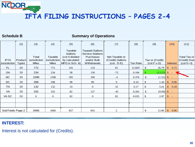**Schedule B**

NCDOR

#### **Summary of Operations**

|                             | (2)                     | (3)                                          | (4)                                     | (5)                                                                     | (6)                                                                                          | (7)                                                               | (8)             | (9)                                                      | (10)                       | (11)                                                            |
|-----------------------------|-------------------------|----------------------------------------------|-----------------------------------------|-------------------------------------------------------------------------|----------------------------------------------------------------------------------------------|-------------------------------------------------------------------|-----------------|----------------------------------------------------------|----------------------------|-----------------------------------------------------------------|
| <b>IFTA</b><br>Jurisdiction | Product<br><b>Types</b> | Total<br><b>Jurisdiction</b><br><b>Miles</b> | Taxable<br>Jurisdiction<br><b>Miles</b> | Taxable<br>Gallons<br>(col 4 divided<br>by calculated<br>MPG in Sch. A) | <b>Taxpaid Gallons</b><br><b>Service Stations</b><br>Purchases<br>and/or Bulk<br>Withdrawals | Net Taxable or<br>(Credit) Gallons<br>$\left($ col. D-E $\right)$ | <b>Tax Rate</b> | Tax or (Credit)<br>$\left(\text{col } F \times G\right)$ | <b>Interest</b>            | Total Tax or<br>(Credit) Due<br>$\left(\text{col H} + I\right)$ |
| FL                          | DI                      | 772                                          | 772                                     | 191                                                                     | 110                                                                                          | 81                                                                | 0.3307          | 26.79<br>$\mathbb{S}$                                    | 0.72<br>$\mathbb{S}$       |                                                                 |
| GA                          | DI                      | 234                                          | 234                                     | 58                                                                      | 130                                                                                          | $-72$                                                             | 0.184           | $(13.25)$ \$<br>\$                                       | $\sim$ $-$                 |                                                                 |
| NC                          | DI                      | 1598                                         | 1598                                    | 395                                                                     | 399                                                                                          | $-4$                                                              | 0.376           | \$<br>$(1.51)$ \$ -                                      |                            |                                                                 |
| <b>SC</b>                   | DI                      | 398                                          | 398                                     | 98                                                                      | 89                                                                                           | 9                                                                 | 0.16            | 1.44<br>\$.                                              | 0.06<br>$\mathcal{S}$      |                                                                 |
| <b>TN</b>                   | DI                      | 132                                          | 132                                     | 33                                                                      | $\mathbf{0}$                                                                                 | 33                                                                | 0.17            | 5.61<br>\$                                               | 0.18<br>$\mathbb{S}$       |                                                                 |
| VA                          | DI                      | 332                                          | 332                                     | 82                                                                      | 127                                                                                          | $-45$                                                             | 0.202           | \$<br>$(9.09)$ \$ -                                      |                            |                                                                 |
| VA SC                       | DI                      | $\mathbf{0}$                                 | $\mathbf{0}$                            | 82                                                                      | $\mathbf{0}$                                                                                 | 82                                                                | 0.035           | 2.87<br>\$                                               | $\mathbb{S}$<br>$\sim$ $-$ |                                                                 |
|                             |                         |                                              |                                         |                                                                         |                                                                                              |                                                                   |                 |                                                          |                            |                                                                 |
|                             |                         |                                              |                                         |                                                                         |                                                                                              |                                                                   |                 |                                                          |                            |                                                                 |
| SubTotals Page 2            |                         | 3466                                         | 3466                                    | 857                                                                     | 855                                                                                          | 2                                                                 |                 | \$<br>12.86                                              | $\mathcal{S}$<br>0.96      |                                                                 |

#### **INTEREST:**

Interest is not calculated for (Credits).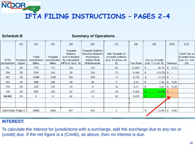**Schedule B**

NCDOR.

#### **Summary of Operations**

|                  | (2)          | (3)          | (4)          | (5)            | (6)                     | (7)                | (8)             | (9)                            | (10)                  | (11)                                        |
|------------------|--------------|--------------|--------------|----------------|-------------------------|--------------------|-----------------|--------------------------------|-----------------------|---------------------------------------------|
|                  |              |              |              |                |                         |                    |                 |                                |                       |                                             |
|                  |              |              |              | Taxable        | <b>Taxpaid Gallons</b>  |                    |                 |                                |                       |                                             |
|                  |              |              |              | Gallons        | <b>Service Stations</b> | Net Taxable or     |                 |                                |                       | Total Tax or                                |
|                  |              | Total        | Taxable      | (col 4 divided | Purchases               | (Credit) Gallons   |                 |                                |                       | (Credit) Due                                |
| <b>IFTA</b>      | Product      | Jurisdiction | Jurisdiction | by calculated  | and/or Bulk             | (col. 5 minus col. |                 | Tax or (Credit)                |                       | $\left(\text{col. } 9 + \text{col.}\right)$ |
| Jurisdiction     | <b>Types</b> | <b>Miles</b> | <b>Miles</b> | MPG in Sch. A) | Withdrawals             | 6)                 | <b>Tax Rate</b> | (col. 7 x col. 8)              | <b>Interest</b>       | 10)                                         |
| FL.              | DI           | 772          | 772          | 191            | 110                     | 81                 | 0.3307          | 26.79<br>\$                    | $\mathcal{S}$<br>0.72 |                                             |
| <b>GA</b>        | DI           | 234          | 234          | 58             | 130                     | $-72$              | 0.184           | \$<br>$(13.25)$ \$ -           |                       |                                             |
| NC               | DI           | 1598         | 1598         | 395            | 399                     | $-4$               | 0.376           | \$<br>$(1.51)$ \$ -            |                       |                                             |
| SC               | DI           | 398          | 398          | 98             | 89                      | 9                  | 0.16            | \$<br>1.44                     | 0.06<br>\$            |                                             |
| <b>TN</b>        | DI           | 132          | 132          | 33             | $\theta$                | 33                 | 0.17            | \$<br>5.61                     | 0.18<br>\$            |                                             |
| VA               | DI           | 332          | 332          | 82             | 127                     | $-45$              | 0.202           | $\mathbf{\$}$<br>$(9.09)$ \$ - |                       |                                             |
| <b>VASC</b>      | DI           | $\theta$     | $\theta$     | 82             | $\theta$                | 82                 | 0.035           | 2.87                           | $\mathbf{S}$          |                                             |
|                  |              |              |              |                |                         |                    |                 |                                |                       |                                             |
|                  |              |              |              |                |                         |                    |                 |                                |                       |                                             |
| SubTotals Page 2 |              | 3466         | 3466         | 857            | 855                     | 2                  |                 | 12.86<br>\$                    | \$<br>0.96            |                                             |
|                  |              |              |              |                |                         |                    |                 |                                |                       |                                             |

#### **INTEREST:**

To calculate the interest for jurisdictions with a surcharge, add the surcharge due to any tax or (credit) due. If the net figure is a (Credit), as above, then no interest is due.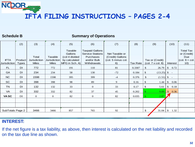**Schedule B**

NCDOR.

#### **Summary of Operations**

|                     | (2)          | (3)                 | (4)                 | (5)            | (6)                     | (7)                | (8)             | (9)                            | (10)                  | (11)                 |
|---------------------|--------------|---------------------|---------------------|----------------|-------------------------|--------------------|-----------------|--------------------------------|-----------------------|----------------------|
|                     |              |                     |                     | Taxable        | <b>Taxpaid Gallons</b>  |                    |                 |                                |                       | <b>Total Tax</b>     |
|                     |              |                     |                     |                |                         |                    |                 |                                |                       |                      |
|                     |              |                     |                     | Gallons        | <b>Service Stations</b> | Net Taxable or     |                 |                                |                       | or (Credit)          |
|                     |              | Total               | Taxable             | (col 4 divided | Purchases               | (Credit) Gallons   |                 |                                |                       | Due                  |
| <b>IFTA</b>         | Product      | <b>Jurisdiction</b> | <b>Jurisdiction</b> | by calculated  | and/or Bulk             | (col. 5 minus col. |                 | Tax or (Credit)                |                       | $ $ (col. $9 +$ col. |
| <b>Jurisdiction</b> | <b>Types</b> | <b>Miles</b>        | <b>Miles</b>        | MPG in Sch. A) | Withdrawals             | 6)                 | <b>Tax Rate</b> | (col. 7 x col. 8)              | <b>Interest</b>       | 10)                  |
| FL.                 | DI           | 772                 | 772                 | 191            | 110                     | 81                 | 0.3307          | 26.79<br>\$                    | 0.72<br>$\mathcal{S}$ |                      |
| <b>GA</b>           | DI           | 234                 | 234                 | 58             | 130                     | $-72$              | 0.184           | \$<br>$(13.25)$ \$ -           |                       |                      |
| NC                  | DI           | 1598                | 1598                | 395            | 399                     | $-4$               | 0.376           | $\mathcal{L}$<br>$(1.51)$ \$ - |                       |                      |
| SC                  | DI           | 398                 | 398                 | 98             | 89                      | 9                  | 0.16            | 1.44<br>\$                     | 0.06<br>\$            |                      |
| <b>TN</b>           | <b>DI</b>    | 132                 | 132                 | 33             | $\theta$                | 33                 | 0.17            | \$<br>5.61                     | 0.18<br>\$            |                      |
| VA                  | DI           | 332                 | 332                 | 82             | 37                      | 45                 | 0.202           | 9.09<br>\$                     | 0.36<br>$\mathbb{S}$  |                      |
| <b>VASC</b>         | DI           | $\theta$            | $\mathbf{0}$        | 82             | $\overline{0}$          | 82                 | 0.035           | 2.87                           |                       |                      |
|                     |              |                     |                     |                |                         |                    |                 |                                |                       |                      |
|                     |              |                     |                     |                |                         |                    |                 |                                |                       |                      |
| SubTotals Page 2    |              | 3466                | 3466                | 857            | 765                     | 92                 |                 | \$<br>31.04                    | \$<br>1.32            |                      |
|                     |              |                     |                     |                |                         |                    |                 |                                |                       |                      |

#### **INTEREST:**

If the net figure is a tax liability, as above, then interest is calculated on the net liability and recorded on the tax due line as shown.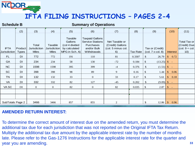#### **Schedule B**

#### **Summary of Operations**

|                             | (2)                     | (3)                                          | (4)                                     | (5)                                                                     | (6)                                                                                          | (7)                                                            | (8)             | (9)                                                                    | (10)                        | (11)                                                                                      |
|-----------------------------|-------------------------|----------------------------------------------|-----------------------------------------|-------------------------------------------------------------------------|----------------------------------------------------------------------------------------------|----------------------------------------------------------------|-----------------|------------------------------------------------------------------------|-----------------------------|-------------------------------------------------------------------------------------------|
| <b>IFTA</b><br>Jurisdiction | Product<br><b>Types</b> | Total<br><b>Jurisdiction</b><br><b>Miles</b> | Taxable<br>Jurisdiction<br><b>Miles</b> | Taxable<br>Gallons<br>(col 4 divided<br>by calculated<br>MPG in Sch. A) | <b>Taxpaid Gallons</b><br><b>Service Stations</b><br>Purchases<br>and/or Bulk<br>Withdrawals | Net Taxable or<br>(Credit) Gallons<br>(col. 5 minus col.<br>6) | <b>Tax Rate</b> | Tax or (Credit)<br>$\left(\text{col. } 7 \times \text{col. } 8\right)$ | <b>Interest</b>             | <b>Total Tax or</b><br>(Credit) Due<br>$\left(\text{col. } 9 + \text{col.}\right)$<br>10) |
| FL.                         | DI                      | 772                                          | 772                                     | 191                                                                     | 110                                                                                          | 81                                                             | 0.3307          | \$<br>26.79                                                            | 0.72<br>$\mathbb{S}$        |                                                                                           |
| GA                          | DI                      | 234                                          | 234                                     | 58                                                                      | 130                                                                                          | $-72$                                                          | 0.184           | \$<br>$(13.25)$ \$ -                                                   |                             |                                                                                           |
| NC                          | DI                      | 1598                                         | 1598                                    | 395                                                                     | 399                                                                                          | $-4$                                                           | 0.376           | $\mathcal{L}$<br>$(1.51)$ \$ -                                         |                             |                                                                                           |
| <b>SC</b>                   | DI                      | 398                                          | 398                                     | 98                                                                      | 89                                                                                           | 9                                                              | 0.16            | \$<br>1.44                                                             | $\frac{1}{2}$<br>0.06       |                                                                                           |
| <b>TN</b>                   | DI                      | 132                                          | 132                                     | 33                                                                      | $\mathbf{0}$                                                                                 | 33                                                             | 0.17            | 5.61<br>\$                                                             | \$ 0.18                     |                                                                                           |
| VA                          | DI                      | 332                                          | 332                                     | 82                                                                      | 127                                                                                          | $-45$                                                          | 0.202           | $\mathcal{L}$<br>(9.09)                                                | $\int$ $\int$               |                                                                                           |
| VA SC                       | DI                      | $\overline{0}$                               | $\overline{0}$                          | 82                                                                      | $\overline{0}$                                                                               | 82                                                             | 0.035           | \$<br>2.87                                                             | $\mathsf{\$}$<br>$\sim$ $-$ |                                                                                           |
|                             |                         |                                              |                                         |                                                                         |                                                                                              |                                                                |                 |                                                                        |                             |                                                                                           |
|                             |                         |                                              |                                         |                                                                         |                                                                                              |                                                                |                 |                                                                        |                             |                                                                                           |
| SubTotals Page 2            |                         | 3466                                         | 3466                                    | 857                                                                     | 855                                                                                          | 2                                                              |                 | \$<br>12.86                                                            | 0.96<br>$\mathbb{S}$        |                                                                                           |

#### **AMENDED RETURN INTEREST:**

To determine the correct amount of interest due on the amended return, you must determine the additional tax due for each jurisdiction that was not reported on the Original IFTA Tax Return. Multiply the additional tax due amount by the applicable interest rate by the number of months late. Please refer to the Gas-1276 Instructions for the applicable interest rate for the quarter and year you are amending.

**33**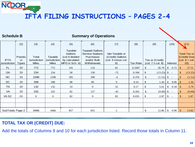NCDOR,

#### **Summary of Operations**

|                             | (2)                              | (3)                                          | (4)                                     | (5)                                                                            | (6)                                                                                                 | (7)                                                            | (8)             | (9)                                                                    | (10)                       |               | (11)                                                               |
|-----------------------------|----------------------------------|----------------------------------------------|-----------------------------------------|--------------------------------------------------------------------------------|-----------------------------------------------------------------------------------------------------|----------------------------------------------------------------|-----------------|------------------------------------------------------------------------|----------------------------|---------------|--------------------------------------------------------------------|
| <b>IFTA</b><br>Jurisdiction | Prpodu<br><sub>ct</sub><br>Types | Total<br><b>Jurisdiction</b><br><b>Miles</b> | Taxable<br>Jurisdiction<br><b>Miles</b> | Taxable<br><b>Gallons</b><br>(col 4 divided<br>by calculated<br>MPG in Sch. A) | <b>Taxpaid Gallons</b><br><b>Service Stations</b><br><b>Purchases</b><br>and/or Bulk<br>Withdrawals | Net Taxable or<br>(Credit) Gallons<br>(col. 5 minus col.<br>6) | <b>Tax Rate</b> | Tax or (Credit)<br>$\left(\text{col. } 7 \times \text{col. } 8\right)$ | Interest                   |               | <b>Total Tax or</b><br>(Credit) Due<br>$ $ (col. $9 +$ col.<br>10) |
| FL.                         | <b>DI</b>                        | 772                                          | 772                                     | 191                                                                            | 110                                                                                                 | 81                                                             | 0.3307          | 26.79<br>\$                                                            | 0.72<br>$\mathbb{S}$       | $\mathbb{S}$  | 27.51                                                              |
| <b>GA</b>                   | DI                               | 234                                          | 234                                     | 58                                                                             | 130                                                                                                 | $-72$                                                          | 0.184           | \$                                                                     | $\sim$ $-$                 | \$            | (13.25)                                                            |
| NC                          | DI                               | 1598                                         | 1598                                    | 395                                                                            | 399                                                                                                 | $-4$                                                           | 0.376           | \$<br>$(1.51)$ \$ -                                                    |                            | Æ.            | (1.51)                                                             |
| <b>SC</b>                   | DI                               | 398                                          | 398                                     | 98                                                                             | 89                                                                                                  | 9                                                              | 0.16            | \$<br>1.44                                                             | 0.06<br>$\mathbb{S}$       | <b>S</b>      | 1.50                                                               |
| <b>TN</b>                   | DI                               | 132                                          | 132                                     | 33                                                                             | $\overline{0}$                                                                                      | 33                                                             | 0.17            | 5.61<br>\$                                                             | 0.18<br>$\mathbb{S}$       | <sup>\$</sup> | 5.79                                                               |
| <b>VA</b>                   | DI                               | 332                                          | 332                                     | 82                                                                             | 127                                                                                                 | $-45$                                                          | 0.202           | \$<br>$(9.09)$ \$ -                                                    |                            |               | (9.09)                                                             |
| VA SC                       | DI                               | $\theta$                                     | $\mathbf{0}$                            | 82                                                                             | $\overline{0}$                                                                                      | 82                                                             | 0.035           | 2.87<br>\$                                                             | $\mathbb{S}$<br>$\sim$ $-$ |               | 2.87                                                               |
|                             |                                  |                                              |                                         |                                                                                |                                                                                                     |                                                                |                 |                                                                        |                            |               |                                                                    |
|                             |                                  |                                              |                                         |                                                                                |                                                                                                     |                                                                |                 |                                                                        |                            |               |                                                                    |
| SubTotals Page 2            |                                  | 3466                                         | 3466                                    | 857                                                                            | 855                                                                                                 | 2                                                              |                 | 12.86<br>\$                                                            | $\mathcal{L}$              |               | 13.82                                                              |

#### **TOTAL TAX OR (CREDIT) DUE:**

Add the totals of Columns 9 and 10 for each jurisdiction listed. Record those totals in Column 11.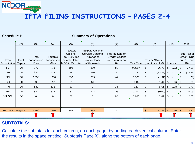**Schedule B**

NCDOR

#### **Summary of Operations**

|                             | (2)                  | (3)                                          | (4)                                     | (5)                                                                     | (6)                                                                                          | (7)                                                            | (8)             | (9)                                                                  | (10)                           | (11)                                                                               |
|-----------------------------|----------------------|----------------------------------------------|-----------------------------------------|-------------------------------------------------------------------------|----------------------------------------------------------------------------------------------|----------------------------------------------------------------|-----------------|----------------------------------------------------------------------|--------------------------------|------------------------------------------------------------------------------------|
| <b>IFTA</b><br>Jurisdiction | Fuel<br><b>Types</b> | Total<br><b>Jurisdiction</b><br><b>Miles</b> | Taxable<br>Jurisdiction<br><b>Miles</b> | Taxable<br>Gallons<br>(col 4 divided<br>by calculated<br>MPG in Sch. A) | <b>Taxpaid Gallons</b><br><b>Service Stations</b><br>Purchases<br>and/or Bulk<br>Withdrawals | Net Taxable or<br>(Credit) Gallons<br>(col. 5 minus col.<br>6) | <b>Tax Rate</b> | Tax or (Credit)<br>$\left(\text{col. 7} \times \text{col. 8}\right)$ | Interest                       | Total Tax or<br>(Credit) Due<br>$\left(\text{col. } 9 + \text{col.}\right)$<br>10) |
| <b>FL</b>                   | <b>DI</b>            | 772                                          | 772                                     | 191                                                                     | 110                                                                                          | 81                                                             | 0.3307          | \$<br>26.79                                                          | $\mathcal{S}$<br>0.72          | 27.51<br>$\mathbb{S}$                                                              |
| <b>GA</b>                   | DI                   | 234                                          | 234                                     | 58                                                                      | 130                                                                                          | $-72$                                                          | 0.184           | $\mathbb{S}$<br>(13.25)                                              | $S -$                          | (13.25)<br>\$                                                                      |
| <b>NC</b>                   | DI                   | 1598                                         | 1598                                    | 395                                                                     | 399                                                                                          | $-4$                                                           | 0.376           | $\mathcal{S}$<br>$(1.51)$ \$ -                                       |                                | (1.51)                                                                             |
| SC                          | <b>DI</b>            | 398                                          | 398                                     | 98                                                                      | 89                                                                                           | 9                                                              | 0.16            | 1.44<br>\$                                                           | 0.06<br>\$                     | 1.50<br>-S                                                                         |
| <b>TN</b>                   | DI                   | 132                                          | 132                                     | 33                                                                      | $\overline{0}$                                                                               | 33                                                             | 0.17            | 5.61<br>\$                                                           | 0.18<br>$\mathcal{S}$          | 5.79<br>-S                                                                         |
| VA                          | DI                   | 332                                          | 332                                     | 82                                                                      | 127                                                                                          | $-45$                                                          | 0.202           | \$<br>$(9.09)$ \$                                                    | $\sim$ $-$                     | (9.09)                                                                             |
| VA SC                       | DI                   | $\Omega$                                     | $\overline{0}$                          | 82                                                                      | $\mathbf{0}$                                                                                 | 82                                                             | 0.035           | 2.87<br>\$                                                           | \$<br>$\overline{\phantom{a}}$ | 2.87                                                                               |
|                             |                      |                                              |                                         |                                                                         |                                                                                              |                                                                |                 |                                                                      |                                |                                                                                    |
|                             |                      |                                              |                                         |                                                                         |                                                                                              |                                                                |                 |                                                                      |                                |                                                                                    |
| <b>SubTotals Page 2</b>     |                      | 3466                                         | 3466                                    | 857                                                                     | 855                                                                                          | 2                                                              |                 | $\mathbb{S}$<br>12.86                                                | $\mathcal{S}$<br>0.96          | 13.82<br>$\mathcal{S}$                                                             |
|                             |                      |                                              |                                         |                                                                         |                                                                                              |                                                                |                 |                                                                      |                                |                                                                                    |

#### **SUBTOTALS:**

Calculate the subtotals for each column, on each page, by adding each vertical column. Enter the results in the space entitled "Subtotals Page X", along the bottom of each page.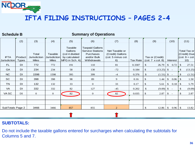

| <b>Schedule B</b>                  |                         |                                              |                                                |                                                                         | <b>Summary of Operations</b>                                                                        |                                                                |                 |                                                                      |                                      |               |                                                                                    |
|------------------------------------|-------------------------|----------------------------------------------|------------------------------------------------|-------------------------------------------------------------------------|-----------------------------------------------------------------------------------------------------|----------------------------------------------------------------|-----------------|----------------------------------------------------------------------|--------------------------------------|---------------|------------------------------------------------------------------------------------|
|                                    | (2)                     | (3)                                          | (4)                                            | (5)                                                                     | (6)                                                                                                 | (7)                                                            | (8)             | (9)                                                                  | (10)                                 |               | (11)                                                                               |
| <b>IFTA</b><br><b>Jurisdiction</b> | Product<br><b>Types</b> | Total<br><b>Jurisdiction</b><br><b>Miles</b> | Taxable<br><b>Jurisdiction</b><br><b>Miles</b> | Taxable<br>Gallons<br>(col 4 divided<br>by calculated<br>MPG in Sch. A) | <b>Taxpaid Gallons</b><br><b>Service Stations</b><br><b>Purchases</b><br>and/or Bulk<br>Withdrawals | Net Taxable or<br>(Credit) Gallons<br>(col. 5 minus col.<br>6) | <b>Tax Rate</b> | Tax or (Credit)<br>$\left(\text{col. 7} \times \text{col. 8}\right)$ | Interest                             |               | Total Tax or<br>(Credit) Due<br>$\left(\text{col. } 9 + \text{col.}\right)$<br>10) |
| FL                                 | DI                      | 772                                          | 772                                            | 191                                                                     | 110                                                                                                 | 81                                                             | 0.3307          | 26.79<br>\$                                                          | $\mathcal{S}$<br>0.72                | \$            | 27.51                                                                              |
| GA                                 | DI                      | 234                                          | 234                                            | 58                                                                      | 130                                                                                                 | $-72$                                                          | 0.184           | $(13.25)$ \$ -<br>\$                                                 |                                      | S             | (13.25)                                                                            |
| NC                                 | DI                      | 1598                                         | 1598                                           | 395                                                                     | 399                                                                                                 | $-4$                                                           | 0.376           | $\boldsymbol{\mathsf{S}}$                                            | $(1.51)$ \$ -                        |               | (1.51)                                                                             |
| SC                                 | DI                      | 398                                          | 398                                            | 98                                                                      | 89                                                                                                  | 9                                                              | 0.16            | \$<br>1.44                                                           | 0.06<br>$\mathcal{S}$                | -S            | 1.50                                                                               |
| <b>TN</b>                          | DI                      | 132                                          | 132                                            | 33                                                                      | $\overline{0}$                                                                                      | 33                                                             | 0.17            | \$<br>5.61                                                           | 0.18<br>$\mathcal{S}$                | <sup>\$</sup> | 5.79                                                                               |
| VA                                 | DI                      | 332                                          | 332                                            | 82                                                                      | 127                                                                                                 | $-45$                                                          | 0.202           | \$                                                                   | $(9.09)$ \$ -                        | \$.           | (9.09)                                                                             |
| VA SC                              | DI                      | $\theta$                                     | $\mathbf{0}$                                   | 82                                                                      | $\overline{0}$                                                                                      | 82                                                             | 0.035           | \$<br>2.87                                                           | $S -$                                |               | 2.87                                                                               |
|                                    |                         |                                              |                                                |                                                                         |                                                                                                     |                                                                |                 |                                                                      |                                      |               |                                                                                    |
|                                    |                         |                                              |                                                |                                                                         |                                                                                                     |                                                                |                 |                                                                      |                                      |               |                                                                                    |
| SubTotals Page 2                   |                         | 3466                                         | 3466                                           | 857                                                                     | 855                                                                                                 | 2                                                              |                 | \$<br>12.86                                                          | $\mathbb{S}$<br>$0.96 \, \vert \, \$ |               | 13.82                                                                              |
|                                    |                         |                                              |                                                |                                                                         |                                                                                                     |                                                                |                 |                                                                      |                                      |               |                                                                                    |

#### **SUBTOTALS:**

Do not include the taxable gallons entered for surcharges when calculating the subtotals for Columns 5 and 7.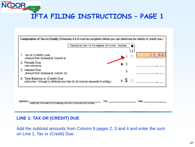

#### **LINE 1: TAX OR (CREDIT) DUE**

Add the subtotal amounts from Column 9 pages 2, 3 and 4 and enter the sum on Line 1, Tax or (Credit) Due.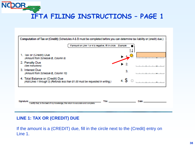

#### **LINE 1: TAX OR (CREDIT) DUE**

If the amount is a (CREDIT) due, fill in the circle next to the (Credit) entry on Line 1.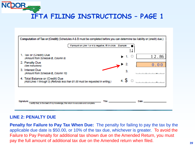

#### **LINE 2: PENALTY DUE**

**Penalty for Failure to Pay Tax When Due:** The penalty for failing to pay the tax by the applicable due date is \$50.00, or 10% of the tax due, whichever is greater. To avoid the Failure to Pay Penalty for additional tax shown due on the Amended Return, you must pay the full amount of additional tax due on the Amended return when filed.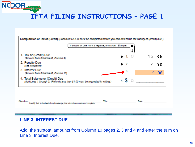

#### **LINE 3: INTEREST DUE**

Add the subtotal amounts from Column 10 pages 2, 3 and 4 and enter the sum on Line 3, Interest Due.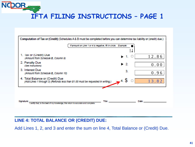

#### **LINE 4: TOTAL BALANCE OR (CREDIT) DUE:**

Add Lines 1, 2, and 3 and enter the sum on line 4, Total Balance or (Credit) Due.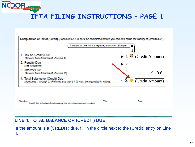

#### **LINE 4: TOTAL BALANCE OR (CREDIT) DUE:**

If the amount is a (CREDIT) due, fill in the circle next to the (Credit) entry on Line 4.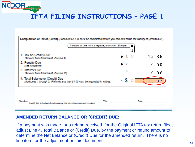

#### **AMENDED RETURN BALANCE OR (CREDIT) DUE:**

If a payment was made, or a refund received, for the Original IFTA tax return filed, adjust Line 4, Total Balance or (Credit) Due, by the payment or refund amount to determine the Net Balance or (Credit) Due for the amended return. There is no line item for the adjustment on this document.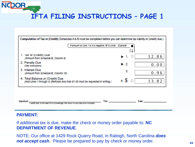NCDOR -**IFTA FILING INSTRUCTIONS – PAGE 1**

| Computation of Tax or (Credit) (Schedules A & B must be completed before you can determine tax liability or (credit) due.) |                                                                |              |  |  |  |  |  |  |  |
|----------------------------------------------------------------------------------------------------------------------------|----------------------------------------------------------------|--------------|--|--|--|--|--|--|--|
|                                                                                                                            | If amount on Line 1 or 4 is negative, fill in circle. Example: |              |  |  |  |  |  |  |  |
| 1. lax or (Credit) Due                                                                                                     |                                                                |              |  |  |  |  |  |  |  |
| (Amount from Schedule B, Column 9)                                                                                         |                                                                | 12.86        |  |  |  |  |  |  |  |
| 2. Penalty Due<br>(See Instructions)                                                                                       | $\blacktriangleright$ 2.                                       | 0.00         |  |  |  |  |  |  |  |
| 3. Interest Due<br>(Amount from Schedule B, Column 10)                                                                     | 3.                                                             | 0.96         |  |  |  |  |  |  |  |
| 4. Total Balance or (Credit) Due<br>(Add Lines 1 through 3) (Refunds less than \$1.00 must be requested in writing.)       | $4.$ $$$                                                       | 13.82        |  |  |  |  |  |  |  |
|                                                                                                                            |                                                                |              |  |  |  |  |  |  |  |
| Slonature:<br>certify that, to the best of my knowledge, this return is accurate and complete                              | Titles                                                         | <b>Date:</b> |  |  |  |  |  |  |  |

#### **PAYMENT:**

If additional tax is due, make the check or money order payable to: **NC DEPARTMENT OF REVENUE**.

NOTE: Our office at 1429 Rock Quarry Road, in Raleigh, North Carolina *does not accept cash*. Please be prepared to pay by check or money order.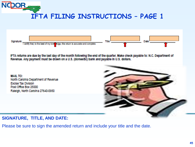



IFTA returns are due by the last day of the month following the end of the quarter. Make check payable to: N.C. Department of Revenue. Any payment must be drawn on a U.S. (domestic) bank and payable in U.S. dollars.

**MAIL TO:** North Carolina Department of Revenue **Excise Tax Division** Post Office Box 25000 Raleigh, North Carolina 27640-0950



#### **SIGNATURE, TITLE, AND DATE:**

Please be sure to sign the amended return and include your title and the date.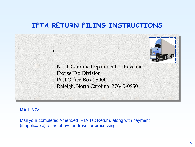### **IFTA RETURN FILING INSTRUCTIONS**



#### **MAILING:**

Mail your completed Amended IFTA Tax Return, along with payment (if applicable) to the above address for processing.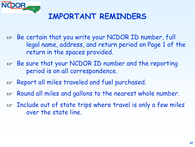

### **IMPORTANT REMINDERS**

- REF Be certain that you write your NCDOR ID number, full legal name, address, and return period on Page 1 of the return in the spaces provided.
- REF Be sure that your NCDOR ID number and the reporting period is on all correspondence.
- Report all miles traveled and fuel purchased.
- Round all miles and gallons to the nearest whole number.
- $E_{\text{F}}$  Include out of state trips where travel is only a few miles over the state line.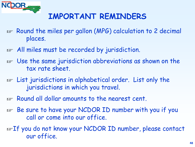

### **IMPORTANT REMINDERS**

- Round the miles per gallon (MPG) calculation to 2 decimal places.
- REP All miles must be recorded by jurisdiction.
- REP Use the same jurisdiction abbreviations as shown on the tax rate sheet.
- re List jurisdictions in alphabetical order. List only the jurisdictions in which you travel.
- $E_{\text{F}}$  Round all dollar amounts to the nearest cent.
- REF Be sure to have your NCDOR ID number with you if you call or come into our office.
- REF You do not know your NCDOR ID number, please contact our office.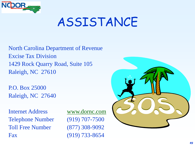

# ASSISTANCE

North Carolina Department of Revenue Excise Tax Division 1429 Rock Quarry Road, Suite 105 Raleigh, NC 27610

P.O. Box 25000 Raleigh, NC 27640

Internet Address www.dornc.com Telephone Number (919) 707-7500 Toll Free Number (877) 308-9092 Fax (919) 733-8654